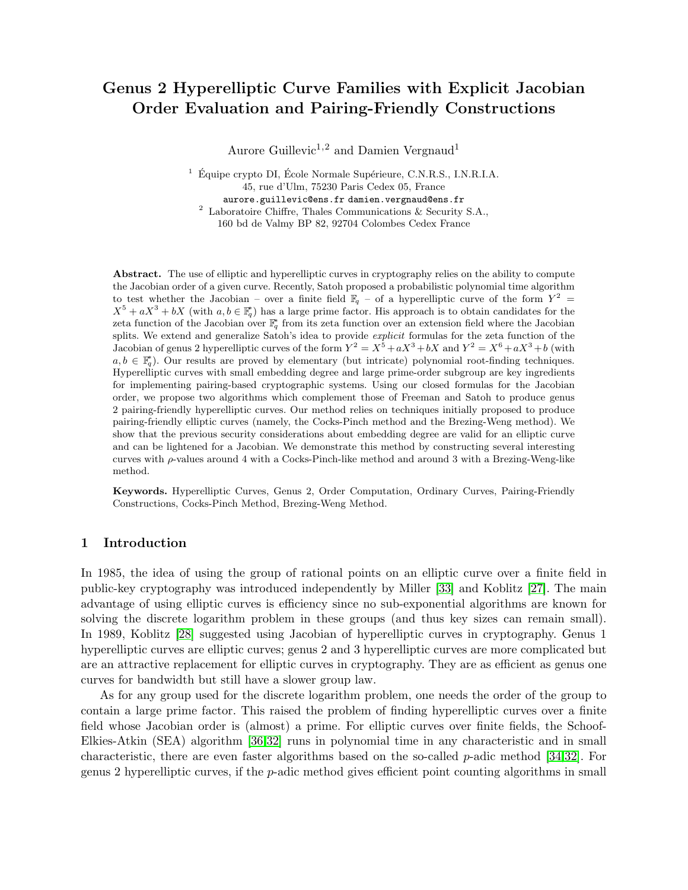# Genus 2 Hyperelliptic Curve Families with Explicit Jacobian Order Evaluation and Pairing-Friendly Constructions

Aurore Guillevic<sup>1,2</sup> and Damien Vergnaud<sup>1</sup>

 $^1\,$ Équipe crypto DI, École Normale Supérieure, C.N.R.S., I.N.R.I.A. 45, rue d'Ulm, 75230 Paris Cedex 05, France aurore.guillevic@ens.fr damien.vergnaud@ens.fr  $2$  Laboratoire Chiffre, Thales Communications & Security S.A.,

160 bd de Valmy BP 82, 92704 Colombes Cedex France

Abstract. The use of elliptic and hyperelliptic curves in cryptography relies on the ability to compute the Jacobian order of a given curve. Recently, Satoh proposed a probabilistic polynomial time algorithm to test whether the Jacobian – over a finite field  $\mathbb{F}_q$  – of a hyperelliptic curve of the form  $Y^2$  =  $X^5 + aX^3 + bX$  (with  $a, b \in \mathbb{F}_q^*$ ) has a large prime factor. His approach is to obtain candidates for the zeta function of the Jacobian over  $\mathbb{F}_q^*$  from its zeta function over an extension field where the Jacobian splits. We extend and generalize Satoh's idea to provide *explicit* formulas for the zeta function of the Jacobian of genus 2 hyperelliptic curves of the form  $Y^2 = X^5 + aX^3 + bX$  and  $Y^2 = X^6 + aX^3 + b$  (with  $a, b \in \mathbb{F}_q^*$ ). Our results are proved by elementary (but intricate) polynomial root-finding techniques. Hyperelliptic curves with small embedding degree and large prime-order subgroup are key ingredients for implementing pairing-based cryptographic systems. Using our closed formulas for the Jacobian order, we propose two algorithms which complement those of Freeman and Satoh to produce genus 2 pairing-friendly hyperelliptic curves. Our method relies on techniques initially proposed to produce pairing-friendly elliptic curves (namely, the Cocks-Pinch method and the Brezing-Weng method). We show that the previous security considerations about embedding degree are valid for an elliptic curve and can be lightened for a Jacobian. We demonstrate this method by constructing several interesting curves with  $\rho$ -values around 4 with a Cocks-Pinch-like method and around 3 with a Brezing-Weng-like method.

Keywords. Hyperelliptic Curves, Genus 2, Order Computation, Ordinary Curves, Pairing-Friendly Constructions, Cocks-Pinch Method, Brezing-Weng Method.

### 1 Introduction

In 1985, the idea of using the group of rational points on an elliptic curve over a finite field in public-key cryptography was introduced independently by Miller [\[33\]](#page-16-0) and Koblitz [\[27\]](#page-16-1). The main advantage of using elliptic curves is efficiency since no sub-exponential algorithms are known for solving the discrete logarithm problem in these groups (and thus key sizes can remain small). In 1989, Koblitz [\[28\]](#page-16-2) suggested using Jacobian of hyperelliptic curves in cryptography. Genus 1 hyperelliptic curves are elliptic curves; genus 2 and 3 hyperelliptic curves are more complicated but are an attractive replacement for elliptic curves in cryptography. They are as efficient as genus one curves for bandwidth but still have a slower group law.

As for any group used for the discrete logarithm problem, one needs the order of the group to contain a large prime factor. This raised the problem of finding hyperelliptic curves over a finite field whose Jacobian order is (almost) a prime. For elliptic curves over finite fields, the Schoof-Elkies-Atkin (SEA) algorithm [\[36](#page-17-0)[,32\]](#page-16-3) runs in polynomial time in any characteristic and in small characteristic, there are even faster algorithms based on the so-called p-adic method [\[34,](#page-17-1)[32\]](#page-16-3). For genus 2 hyperelliptic curves, if the  $p$ -adic method gives efficient point counting algorithms in small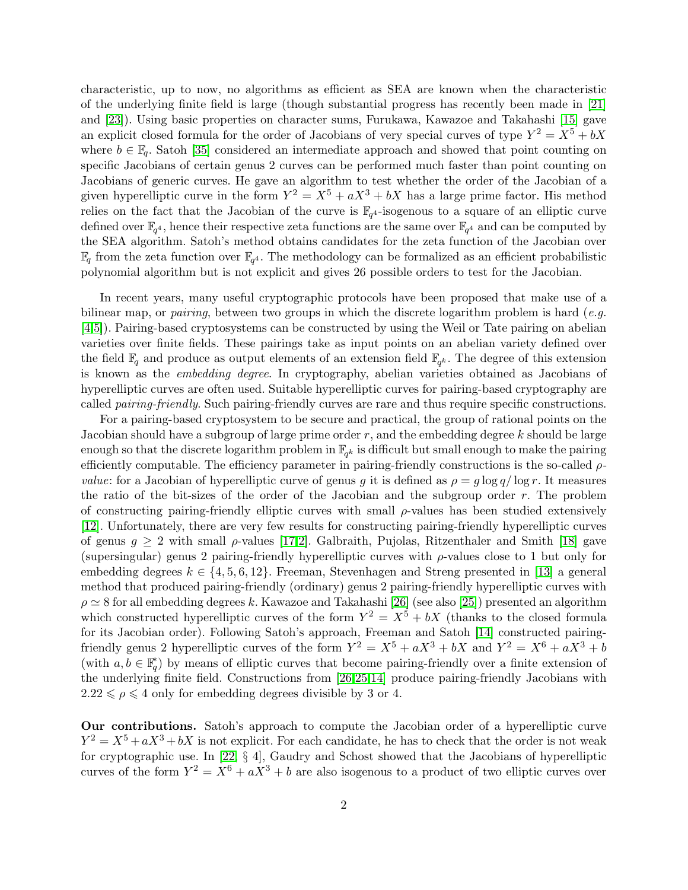characteristic, up to now, no algorithms as efficient as SEA are known when the characteristic of the underlying finite field is large (though substantial progress has recently been made in [\[21\]](#page-16-4) and [\[23\]](#page-16-5)). Using basic properties on character sums, Furukawa, Kawazoe and Takahashi [\[15\]](#page-16-6) gave an explicit closed formula for the order of Jacobians of very special curves of type  $Y^2 = X^5 + bX$ where  $b \in \mathbb{F}_q$ . Satoh [\[35\]](#page-17-2) considered an intermediate approach and showed that point counting on specific Jacobians of certain genus 2 curves can be performed much faster than point counting on Jacobians of generic curves. He gave an algorithm to test whether the order of the Jacobian of a given hyperelliptic curve in the form  $Y^2 = X^5 + aX^3 + bX$  has a large prime factor. His method relies on the fact that the Jacobian of the curve is  $\mathbb{F}_{q^4}$ -isogenous to a square of an elliptic curve defined over  $\mathbb{F}_{q^4}$ , hence their respective zeta functions are the same over  $\mathbb{F}_{q^4}$  and can be computed by the SEA algorithm. Satoh's method obtains candidates for the zeta function of the Jacobian over  $\mathbb{F}_q$  from the zeta function over  $\mathbb{F}_{q^4}$ . The methodology can be formalized as an efficient probabilistic polynomial algorithm but is not explicit and gives 26 possible orders to test for the Jacobian.

In recent years, many useful cryptographic protocols have been proposed that make use of a bilinear map, or pairing, between two groups in which the discrete logarithm problem is hard (e.g. [\[4,](#page-15-0)[5\]](#page-15-1)). Pairing-based cryptosystems can be constructed by using the Weil or Tate pairing on abelian varieties over finite fields. These pairings take as input points on an abelian variety defined over the field  $\mathbb{F}_q$  and produce as output elements of an extension field  $\mathbb{F}_{q^k}$ . The degree of this extension is known as the embedding degree. In cryptography, abelian varieties obtained as Jacobians of hyperelliptic curves are often used. Suitable hyperelliptic curves for pairing-based cryptography are called pairing-friendly. Such pairing-friendly curves are rare and thus require specific constructions.

For a pairing-based cryptosystem to be secure and practical, the group of rational points on the Jacobian should have a subgroup of large prime order  $r$ , and the embedding degree  $k$  should be large enough so that the discrete logarithm problem in  $\mathbb{F}_{q^k}$  is difficult but small enough to make the pairing efficiently computable. The efficiency parameter in pairing-friendly constructions is the so-called  $\rho$ *value*: for a Jacobian of hyperelliptic curve of genus g it is defined as  $\rho = g \log q / \log r$ . It measures the ratio of the bit-sizes of the order of the Jacobian and the subgroup order r. The problem of constructing pairing-friendly elliptic curves with small  $\rho$ -values has been studied extensively [\[12\]](#page-16-7). Unfortunately, there are very few results for constructing pairing-friendly hyperelliptic curves of genus  $g \geq 2$  with small  $\rho$ -values [\[17,](#page-16-8)[2\]](#page-15-2). Galbraith, Pujolas, Ritzenthaler and Smith [\[18\]](#page-16-9) gave (supersingular) genus 2 pairing-friendly hyperelliptic curves with  $\rho$ -values close to 1 but only for embedding degrees  $k \in \{4, 5, 6, 12\}$ . Freeman, Stevenhagen and Streng presented in [\[13\]](#page-16-10) a general method that produced pairing-friendly (ordinary) genus 2 pairing-friendly hyperelliptic curves with  $\rho \simeq 8$  for all embedding degrees k. Kawazoe and Takahashi [\[26\]](#page-16-11) (see also [\[25\]](#page-16-12)) presented an algorithm which constructed hyperelliptic curves of the form  $Y^2 = X^5 + bX$  (thanks to the closed formula for its Jacobian order). Following Satoh's approach, Freeman and Satoh [\[14\]](#page-16-13) constructed pairingfriendly genus 2 hyperelliptic curves of the form  $Y^2 = X^5 + aX^3 + bX$  and  $Y^2 = X^6 + aX^3 + b$ (with  $a, b \in \mathbb{F}_q^*$ ) by means of elliptic curves that become pairing-friendly over a finite extension of the underlying finite field. Constructions from [\[26,](#page-16-11)[25,](#page-16-12)[14\]](#page-16-13) produce pairing-friendly Jacobians with  $2.22 \leq \rho \leq 4$  only for embedding degrees divisible by 3 or 4.

Our contributions. Satoh's approach to compute the Jacobian order of a hyperelliptic curve  $Y^2 = X^5 + aX^3 + bX$  is not explicit. For each candidate, he has to check that the order is not weak for cryptographic use. In [\[22,](#page-16-14) § 4], Gaudry and Schost showed that the Jacobians of hyperelliptic curves of the form  $Y^2 = X^6 + aX^3 + b$  are also isogenous to a product of two elliptic curves over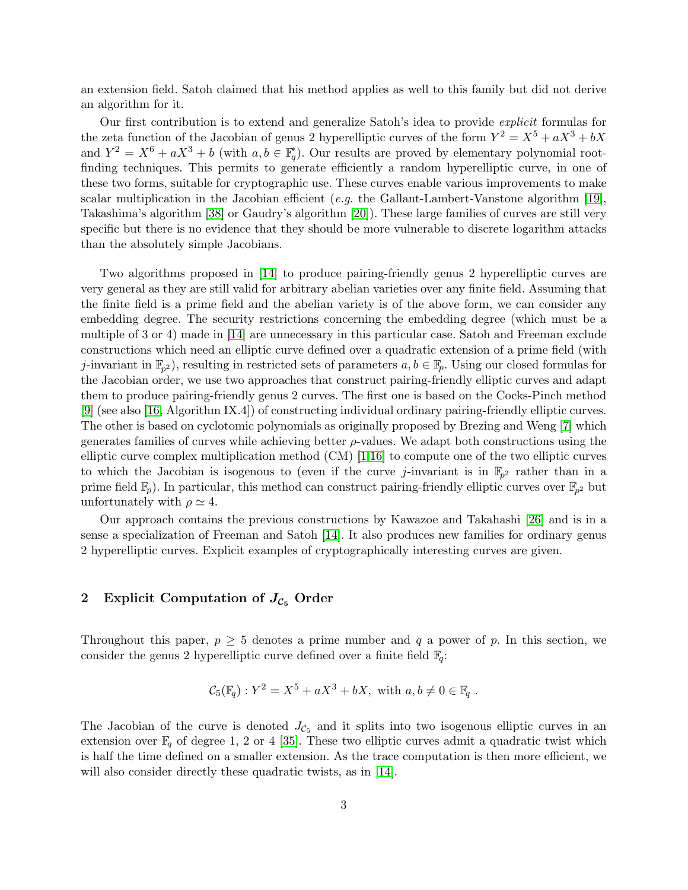an extension field. Satoh claimed that his method applies as well to this family but did not derive an algorithm for it.

Our first contribution is to extend and generalize Satoh's idea to provide explicit formulas for the zeta function of the Jacobian of genus 2 hyperelliptic curves of the form  $Y^2 = X^5 + aX^3 + bX$ and  $Y^2 = X^6 + aX^3 + b$  (with  $a, b \in \mathbb{F}_q^*$ ). Our results are proved by elementary polynomial rootfinding techniques. This permits to generate efficiently a random hyperelliptic curve, in one of these two forms, suitable for cryptographic use. These curves enable various improvements to make scalar multiplication in the Jacobian efficient (*e.g.* the Gallant-Lambert-Vanstone algorithm [\[19\]](#page-16-15), Takashima's algorithm [\[38\]](#page-17-3) or Gaudry's algorithm [\[20\]](#page-16-16)). These large families of curves are still very specific but there is no evidence that they should be more vulnerable to discrete logarithm attacks than the absolutely simple Jacobians.

Two algorithms proposed in [\[14\]](#page-16-13) to produce pairing-friendly genus 2 hyperelliptic curves are very general as they are still valid for arbitrary abelian varieties over any finite field. Assuming that the finite field is a prime field and the abelian variety is of the above form, we can consider any embedding degree. The security restrictions concerning the embedding degree (which must be a multiple of 3 or 4) made in [\[14\]](#page-16-13) are unnecessary in this particular case. Satoh and Freeman exclude constructions which need an elliptic curve defined over a quadratic extension of a prime field (with j-invariant in  $\mathbb{F}_{p^2}$ ), resulting in restricted sets of parameters  $a, b \in \mathbb{F}_p$ . Using our closed formulas for the Jacobian order, we use two approaches that construct pairing-friendly elliptic curves and adapt them to produce pairing-friendly genus 2 curves. The first one is based on the Cocks-Pinch method [\[9\]](#page-16-17) (see also [\[16,](#page-16-18) Algorithm IX.4]) of constructing individual ordinary pairing-friendly elliptic curves. The other is based on cyclotomic polynomials as originally proposed by Brezing and Weng [\[7\]](#page-15-3) which generates families of curves while achieving better  $\rho$ -values. We adapt both constructions using the elliptic curve complex multiplication method (CM) [\[1](#page-15-4)[,16\]](#page-16-18) to compute one of the two elliptic curves to which the Jacobian is isogenous to (even if the curve j-invariant is in  $\mathbb{F}_{p^2}$  rather than in a prime field  $\mathbb{F}_p$ ). In particular, this method can construct pairing-friendly elliptic curves over  $\mathbb{F}_{p^2}$  but unfortunately with  $\rho \simeq 4$ .

Our approach contains the previous constructions by Kawazoe and Takahashi [\[26\]](#page-16-11) and is in a sense a specialization of Freeman and Satoh [\[14\]](#page-16-13). It also produces new families for ordinary genus 2 hyperelliptic curves. Explicit examples of cryptographically interesting curves are given.

# <span id="page-2-0"></span>2 Explicit Computation of  $J_{\mathcal{C}_5}$  Order

Throughout this paper,  $p \geq 5$  denotes a prime number and q a power of p. In this section, we consider the genus 2 hyperelliptic curve defined over a finite field  $\mathbb{F}_q$ :

$$
\mathcal{C}_5(\mathbb{F}_q): Y^2 = X^5 + aX^3 + bX, \text{ with } a, b \neq 0 \in \mathbb{F}_q.
$$

The Jacobian of the curve is denoted  $J_{\mathcal{C}_5}$  and it splits into two isogenous elliptic curves in an extension over  $\mathbb{F}_q$  of degree 1, 2 or 4 [\[35\]](#page-17-2). These two elliptic curves admit a quadratic twist which is half the time defined on a smaller extension. As the trace computation is then more efficient, we will also consider directly these quadratic twists, as in [\[14\]](#page-16-13).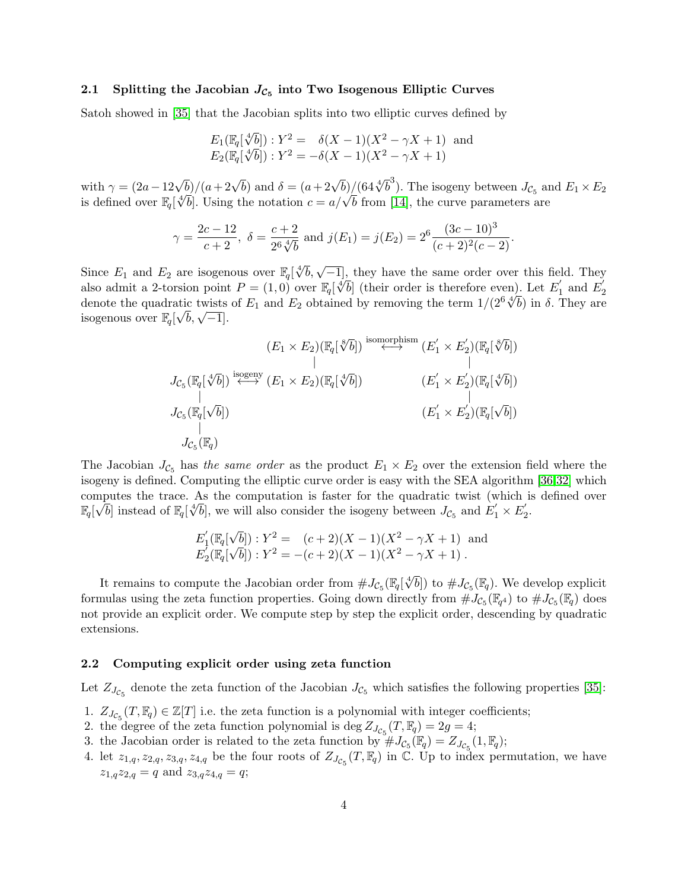# 2.1 Splitting the Jacobian  $J_{\mathcal{C}_5}$  into Two Isogenous Elliptic Curves

Satoh showed in [\[35\]](#page-17-2) that the Jacobian splits into two elliptic curves defined by

$$
E_1(\mathbb{F}_q[\sqrt[4]{b}]): Y^2 = \delta(X - 1)(X^2 - \gamma X + 1) \text{ and}
$$
  

$$
E_2(\mathbb{F}_q[\sqrt[4]{b}]): Y^2 = -\delta(X - 1)(X^2 - \gamma X + 1)
$$

with  $\gamma = (2a - 12\sqrt{b})/(a + 2\sqrt{b})$  and  $\delta = (a + 2\sqrt{b})/(64\sqrt[4]{b}^3)$ . The isogeny between  $J_{\mathcal{C}_5}$  and  $E_1 \times E_2$ with  $\gamma = (z\alpha - 12\sqrt{b})/(a + 2\sqrt{b})$  and  $\delta = (a + 2\sqrt{b})/(b^2\sqrt{b})$ . The isogeny between  $J_{\mathcal{C}_5}$  and is defined over  $\mathbb{F}_q[\sqrt[4]{b}]$ . Using the notation  $c = a/\sqrt{b}$  from [\[14\]](#page-16-13), the curve parameters are

$$
\gamma = \frac{2c - 12}{c + 2}, \ \delta = \frac{c + 2}{2^6 \sqrt[4]{b}} \text{ and } j(E_1) = j(E_2) = 2^6 \frac{(3c - 10)^3}{(c + 2)^2 (c - 2)}.
$$

Since  $E_1$  and  $E_2$  are isogenous over  $\mathbb{F}_q[\sqrt[4]{b}, \sqrt{-1}]$ , they have the same order over this field. They also admit a 2-torsion point  $P = (1,0)$  over  $\mathbb{F}_q[\sqrt[4]{b}]$  (their order is therefore even). Let  $E'_1$  $E_1'$  and  $E_2'$  $\frac{2}{4\sqrt{b}}$  in  $\frac{1}{2}$  They are denote the quadratic twists of  $E_1$  and  $E_2$  obtained by removing the term  $1/(2^6 \sqrt[4]{b})$  in  $\delta$ . They are denote the quadratic twists<br>isogenous over  $\mathbb{F}_q[\sqrt{b},\sqrt{-1}].$ 

$$
(E_1 \times E_2)(\mathbb{F}_q[\sqrt[8]{b}]) \overset{\text{isomorphism}}{\longleftrightarrow} (E_1' \times E_2')(\mathbb{F}_q[\sqrt[8]{b}])
$$
\n
$$
J_{\mathcal{C}_5}(\mathbb{F}_q[\sqrt[4]{b}]) \overset{\text{isogeny}}{\longleftrightarrow} (E_1 \times E_2)(\mathbb{F}_q[\sqrt[4]{b}])
$$
\n
$$
J_{\mathcal{C}_5}(\mathbb{F}_q[\sqrt{b}])
$$
\n
$$
I_{\mathcal{C}_5}(\mathbb{F}_q[\sqrt{b}])
$$
\n
$$
I_{\mathcal{C}_5}(\mathbb{F}_q[\sqrt{b}])
$$
\n
$$
I_{\mathcal{C}_5}(\mathbb{F}_q)
$$

The Jacobian  $J_{\mathcal{C}_5}$  has the same order as the product  $E_1 \times E_2$  over the extension field where the isogeny is defined. Computing the elliptic curve order is easy with the SEA algorithm [\[36,](#page-17-0)[32\]](#page-16-3) which computes the trace. As the computation is faster for the quadratic twist (which is defined over<br> $\mathbb{F}$   $\mathbb{F}^{\{F\}}$  instead of  $\mathbb{F}^{\{A\}}$  in manill also consider the isomew between  $I$  and  $F' \times F'$  $\mathbb{F}_q[\sqrt{b}]$  instead of  $\mathbb{F}_q[\sqrt[4]{b}]$ , we will also consider the isogeny between  $J_{\mathcal{C}_5}$  and  $E'_1 \times E'_2$  $\frac{1}{2}$ .

$$
E'_1(\mathbb{F}_q[\sqrt{b}]): Y^2 = (c+2)(X-1)(X^2 - \gamma X + 1) \text{ and}
$$
  
\n
$$
E'_2(\mathbb{F}_q[\sqrt{b}]): Y^2 = -(c+2)(X-1)(X^2 - \gamma X + 1).
$$

It remains to compute the Jacobian order from  $\#J_{\mathcal{C}_5}(\mathbb{F}_q[\sqrt[4]{\bullet}$  $\overline{b}$ ) to  $\#J_{\mathcal{C}_5}(\mathbb{F}_q)$ . We develop explicit formulas using the zeta function properties. Going down directly from  $\#J_{\mathcal{C}_5}(\mathbb{F}_{q^4})$  to  $\#J_{\mathcal{C}_5}(\mathbb{F}_{q})$  does not provide an explicit order. We compute step by step the explicit order, descending by quadratic extensions.

#### <span id="page-3-0"></span>2.2 Computing explicit order using zeta function

Let  $Z_{J_{\mathcal{C}_5}}$  denote the zeta function of the Jacobian  $J_{\mathcal{C}_5}$  which satisfies the following properties [\[35\]](#page-17-2):

- 1.  $Z_{J_{\mathcal{C}_5}}(T,\mathbb{F}_q) \in \mathbb{Z}[T]$  i.e. the zeta function is a polynomial with integer coefficients;
- 2. the degree of the zeta function polynomial is deg  $Z_{J_{\mathcal{C}_5}}(T,\mathbb{F}_q) = 2g = 4;$
- 3. the Jacobian order is related to the zeta function by  $#J_{\mathcal{C}_5}(\mathbb{F}_q) = Z_{J_{\mathcal{C}_5}}(1,\mathbb{F}_q);$
- 4. let  $z_{1,q}, z_{2,q}, z_{3,q}, z_{4,q}$  be the four roots of  $Z_{J_{\mathcal{C}_5}}(T,\mathbb{F}_q)$  in  $\mathbb{C}$ . Up to index permutation, we have  $z_{1,q}z_{2,q} = q$  and  $z_{3,q}z_{4,q} = q$ ;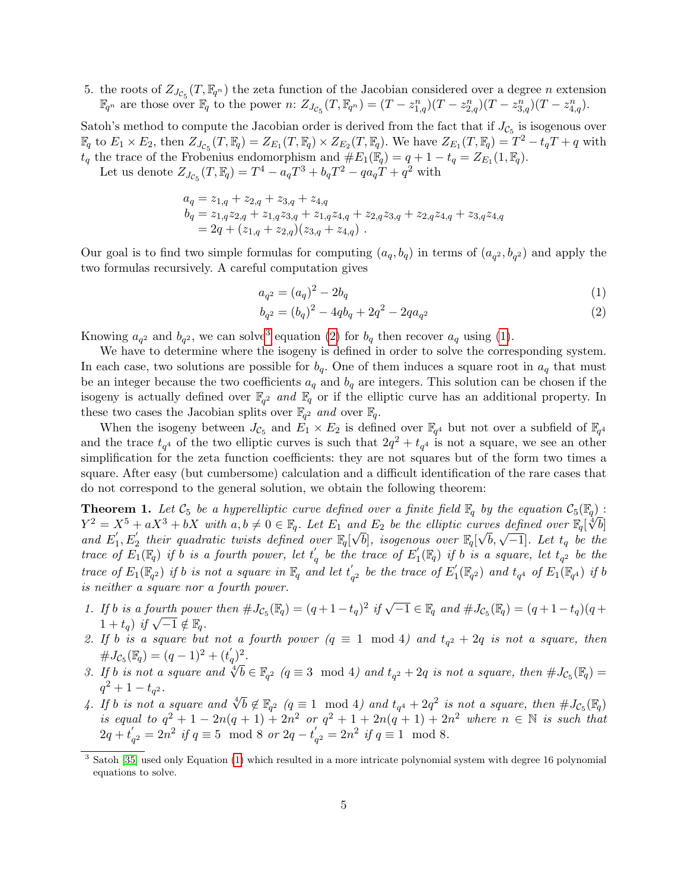5. the roots of  $Z_{J_{\mathcal{C}_5}}(T,\mathbb{F}_{q^n})$  the zeta function of the Jacobian considered over a degree n extension  $\mathbb{F}_{q^n}$  are those over  $\mathbb{F}_{q}$  to the power n:  $Z_{J_{\mathcal{C}_{5}}}(T, \mathbb{F}_{q^n}) = (T - z_{1,q}^n)(T - z_{2,q}^n)(T - z_{3,q}^n)(T - z_{4,q}^n)$ .

Satoh's method to compute the Jacobian order is derived from the fact that if  $J_{\mathcal{C}_5}$  is isogenous over  $\mathbb{F}_q$  to  $E_1 \times E_2$ , then  $Z_{J_{\mathcal{C}_5}}(T, \mathbb{F}_q) = Z_{E_1}(T, \mathbb{F}_q) \times Z_{E_2}(T, \mathbb{F}_q)$ . We have  $Z_{E_1}(T, \mathbb{F}_q) = T^2 - t_q T + q$  with  $t_q$  the trace of the Frobenius endomorphism and  $#E_1(\mathbb{F}_q) = q + 1 - t_q = Z_{E_1}(1, \mathbb{F}_q)$ .

Let us denote  $Z_{J_{\mathcal{C}_5}}(T,\mathbb{F}_q) = T^4 - a_q T^3 + b_q T^2 - q a_q T + q^2$  with

$$
a_q = z_{1,q} + z_{2,q} + z_{3,q} + z_{4,q}
$$
  
\n
$$
b_q = z_{1,q}z_{2,q} + z_{1,q}z_{3,q} + z_{1,q}z_{4,q} + z_{2,q}z_{3,q} + z_{2,q}z_{4,q} + z_{3,q}z_{4,q}
$$
  
\n
$$
= 2q + (z_{1,q} + z_{2,q})(z_{3,q} + z_{4,q}).
$$

Our goal is to find two simple formulas for computing  $(a_q, b_q)$  in terms of  $(a_{q^2}, b_{q^2})$  and apply the two formulas recursively. A careful computation gives

$$
a_{q^2} = (a_q)^2 - 2b_q \tag{1}
$$

<span id="page-4-3"></span><span id="page-4-1"></span>
$$
b_{q^2} = (b_q)^2 - 4qb_q + 2q^2 - 2qa_{q^2}
$$
\n<sup>(2)</sup>

Knowing  $a_{q^2}$  and  $b_{q^2}$ , we can solve<sup>[3](#page-4-0)</sup> equation [\(2\)](#page-4-1) for  $b_q$  then recover  $a_q$  using [\(1\)](#page-4-1).

We have to determine where the isogeny is defined in order to solve the corresponding system. In each case, two solutions are possible for  $b<sub>q</sub>$ . One of them induces a square root in  $a<sub>q</sub>$  that must be an integer because the two coefficients  $a_q$  and  $b_q$  are integers. This solution can be chosen if the isogeny is actually defined over  $\mathbb{F}_{q^2}$  and  $\mathbb{F}_q$  or if the elliptic curve has an additional property. In these two cases the Jacobian splits over  $\mathbb{F}_{q^2}$  and over  $\mathbb{F}_q$ .

When the isogeny between  $J_{\mathcal{C}_5}$  and  $E_1 \times E_2$  is defined over  $\mathbb{F}_{q^4}$  but not over a subfield of  $\mathbb{F}_{q^4}$ and the trace  $t_{q^4}$  of the two elliptic curves is such that  $2q^2 + t_{q^4}$  is not a square, we see an other simplification for the zeta function coefficients: they are not squares but of the form two times a square. After easy (but cumbersome) calculation and a difficult identification of the rare cases that do not correspond to the general solution, we obtain the following theorem:

**Theorem 1.** Let  $\mathcal{C}_5$  be a hyperelliptic curve defined over a finite field  $\mathbb{F}_q$  by the equation  $\mathcal{C}_5(\mathbb{F}_q)$ :<br> $V^2 = V^5 + \sigma V^3 + \sigma V$  with  $\sigma h / Q \subset \mathbb{F}_q$ . Let  $F$  and  $F$  be the elliptic curve defined even  $\$  $Y^2 = X^5 + aX^3 + bX$  with  $a, b \neq 0 \in \mathbb{F}_q$ . Let  $E_1$  and  $E_2$  be the elliptic curves defined over  $\mathbb{F}_q[\sqrt[3]{b}]$ and  $E_1'$  $\mathcal{L}_1 + u\mathcal{L}_2 + v\mathcal{L}_3$  with  $a, b \neq 0 \in \mathbb{F}_q$ . Let  $E_1$  and  $E_2$  be the empire carves defined over  $\mathbb{F}_q[\sqrt{b}, \sqrt{-1}]$ . Let  $t_q$  be the  $f_1$ ,  $E_2'$  their quadratic twists defined over  $\mathbb{F}_q[\sqrt{b}]$ , isogenous trace of  $E_1(\mathbb{F}_q)$  if b is a fourth power, let  $t'_q$  be the trace of  $E'_1$  $\mathcal{H}_1^{'}(\mathbb{F}_q)$  if b is a square, let  $t_{q^2}$  be the trace of  $E_1(\mathbb{F}_{q^2})$  if b is not a square in  $\mathbb{F}_q$  and let  $t'_q$  $\frac{1}{q^2}$  be the trace of  $E_1^{'}$  $f_1^{\prime}(\mathbb{F}_{q^2})$  and  $t_{q^4}$  of  $E_1(\mathbb{F}_{q^4})$  if b is neither a square nor a fourth power.

- <span id="page-4-2"></span>1. If b is a fourth power then  $\#J_{\mathcal{C}_5}(\mathbb{F}_q) = (q+1-t_q)^2$  if  $\sqrt{-1} \in \mathbb{F}_q$  and  $\#J_{\mathcal{C}_5}(\mathbb{F}_q) = (q+1-t_q)(q+1-t_q)$  $1 + t_q$ ) if  $\sqrt{-1} \notin \mathbb{F}_q$ .
- <span id="page-4-4"></span>2. If b is a square but not a fourth power  $(q \equiv 1 \mod 4)$  and  $t_{q^2} + 2q$  is not a square, then  $\#J_{\mathcal{C}_5}(\mathbb{F}_q) = (q-1)^2 + (t'_q)^2.$
- <span id="page-4-5"></span> $\mathcal{L}$ <br>3. If b is not a square and  $\sqrt[4]{b} \in \mathbb{F}_{q^2}$  ( $q \equiv 3 \mod 4$ ) and  $t_{q^2} + 2q$  is not a square, then  $\#J_{\mathcal{C}_5}(\mathbb{F}_q) =$  $q^2+1-t_{q^2}$ .
- <span id="page-4-6"></span> $q + 1 - \iota_{q^2}$ .<br>
4. If b is not a square and  $\sqrt[4]{b} \notin \mathbb{F}_{q^2}$   $(q \equiv 1 \mod 4)$  and  $t_{q^4} + 2q^2$  is not a square, then  $\#J_{\mathcal{C}_5}(\mathbb{F}_q)$ is equal to  $q^2 + 1 - 2n(q+1) + 2n^2$  or  $q^2 + 1 + 2n(q+1) + 2n^2$  where  $n \in \mathbb{N}$  is such that  $2q+t$  $q'_q{}^2 = 2n^2$  if  $q \equiv 5 \mod 8$  or  $2q - t'_q$  $q^2 = 2n^2$  if  $q \equiv 1 \mod 8$ .

<span id="page-4-0"></span><sup>3</sup> Satoh [\[35\]](#page-17-2) used only Equation [\(1\)](#page-4-1) which resulted in a more intricate polynomial system with degree 16 polynomial equations to solve.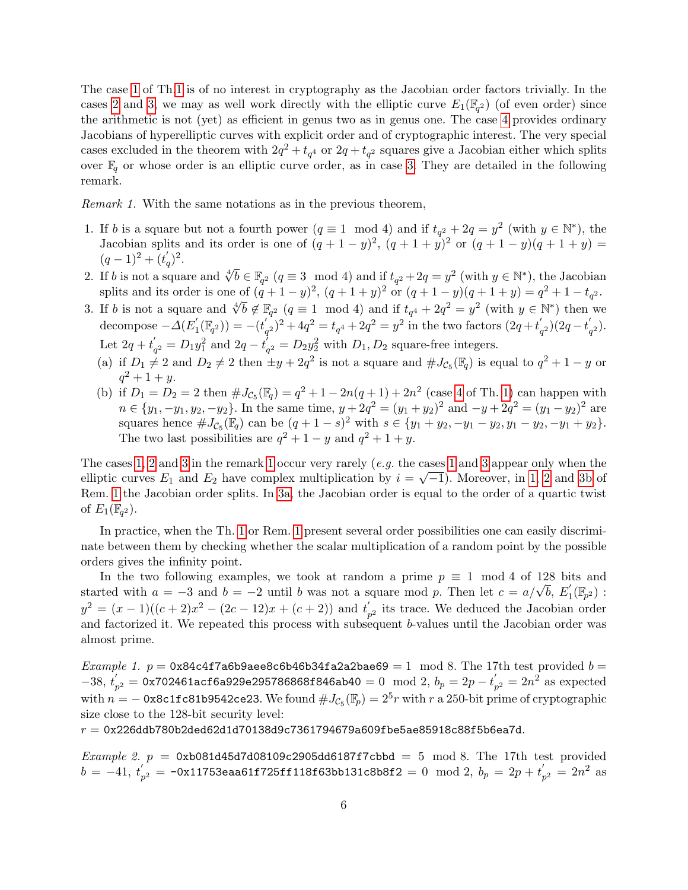The case [1](#page-4-2) of Th[.1](#page-4-3) is of no interest in cryptography as the Jacobian order factors trivially. In the cases [2](#page-4-4) and [3,](#page-4-5) we may as well work directly with the elliptic curve  $E_1(\mathbb{F}_{q^2})$  (of even order) since the arithmetic is not (yet) as efficient in genus two as in genus one. The case [4](#page-4-6) provides ordinary Jacobians of hyperelliptic curves with explicit order and of cryptographic interest. The very special cases excluded in the theorem with  $2q^2 + t_{q^4}$  or  $2q + t_{q^2}$  squares give a Jacobian either which splits over  $\mathbb{F}_q$  or whose order is an elliptic curve order, as in case [3.](#page-4-5) They are detailed in the following remark.

<span id="page-5-3"></span>Remark 1. With the same notations as in the previous theorem,

- <span id="page-5-0"></span>1. If b is a square but not a fourth power  $(q \equiv 1 \mod 4)$  and if  $t_{q^2} + 2q = y^2$  (with  $y \in \mathbb{N}^*$ ), the Jacobian splits and its order is one of  $(q+1-y)^2$ ,  $(q+1+y)^2$  or  $(q+1-y)(q+1+y)$  $(q-1)^2 + (t'_q)^2$ .
- <span id="page-5-1"></span>2. If b is not a square and  $\sqrt[4]{b} \in \mathbb{F}_{q^2}$   $(q \equiv 3 \mod 4)$  and if  $t_{q^2} + 2q = y^2$  (with  $y \in \mathbb{N}^*$ ), the Jacobian splits and its order is one of  $(q+1-y)^2$ ,  $(q+1+y)^2$  or  $(q+1-y)(q+1+y) = q^2 + 1 - t_{q^2}$ .
- <span id="page-5-5"></span><span id="page-5-2"></span>Spits and its offer is one of  $(q+1-y)$ ,  $(q+1+y)$  or  $(q+1-y)(q+1+y) - q + 1 - i_q^2$ .<br>3. If b is not a square and  $\sqrt[4]{b} \notin \mathbb{F}_{q^2}$   $(q \equiv 1 \mod 4)$  and if  $t_{q^4} + 2q^2 = y^2$  (with  $y \in \mathbb{N}^*$ ) then we decompose  $-\Delta(E_1)$  $\chi_{1}^{'}(\mathbb{F}_{q^2})) = -(t_{q^{'}}^{'})$  $\int_{q^2}^{1} (q^2)^2 + 4q^2 = t_{q^4} + 2q^2 = y^2$  in the two factors  $(2q + t'_{q^4})$  $t'_{q^2}$ )(2 $q-t'_{q}$  $\mathbf{q}_{2}$ ). Let  $2q+t'$  $q'_q = D_1 y_1^2$  and  $2q - t_q^2$  $Q_{q^2} = D_2 y_2^2$  with  $D_1, D_2$  square-free integers.
	- (a) if  $D_1 \neq 2$  and  $D_2 \neq 2$  then  $\pm y + 2q^2$  is not a square and  $\#J_{\mathcal{C}_5}(\mathbb{F}_q)$  is equal to  $q^2 + 1 y$  or  $q^2 + 1 + y.$
	- (b) if  $D_1 = D_2 = 2$  then  $\#J_{\mathcal{C}_5}(\mathbb{F}_q) = q^2 + 1 2n(q+1) + 2n^2$  (case [4](#page-4-6) of Th. [1\)](#page-4-3) can happen with  $n \in \{y_1, -y_1, y_2, -y_2\}$ . In the same time,  $y + 2q^2 = (y_1 + y_2)^2$  and  $-y + 2q^2 = (y_1 - y_2)^2$  are squares hence  $\#J_{\mathcal{C}_5}(\mathbb{F}_q)$  can be  $(q+1-s)^2$  with  $s \in \{y_1+y_2, -y_1-y_2, y_1-y_2, -y_1+y_2\}.$ The two last possibilities are  $q^2 + 1 - y$  and  $q^2 + 1 + y$ .

<span id="page-5-4"></span>The cases [1,](#page-5-0) [2](#page-5-1) and [3](#page-5-2) in the remark [1](#page-5-0) occur very rarely (e.g. the cases 1 and 3 appear only when the elliptic curves  $E_1$  and  $E_2$  have complex multiplication by  $i = \sqrt{-1}$ ). Moreover, in [1,](#page-5-0) [2](#page-5-1) and [3b](#page-5-4) of Rem. [1](#page-5-3) the Jacobian order splits. In [3a,](#page-5-5) the Jacobian order is equal to the order of a quartic twist of  $E_1(\mathbb{F}_{q^2})$ .

In practice, when the Th. [1](#page-4-3) or Rem. [1](#page-5-3) present several order possibilities one can easily discriminate between them by checking whether the scalar multiplication of a random point by the possible orders gives the infinity point.

In the two following examples, we took at random a prime  $p \equiv 1 \mod 4$  of 128 bits and in the two following examples, we took at random a prime  $p = 1 \mod 4$  or 128 bits started with  $a = -3$  and  $b = -2$  until b was not a square mod p. Then let  $c = a/\sqrt{b}$ ,  $E'_1$  $\mathcal{L}_1'(\mathbb{F}_{p^2})$  :  $y^2 = (x-1)((c+2)x^2 - (2c-12)x + (c+2))$  and  $t'_3$  $p^2$  its trace. We deduced the Jacobian order and factorized it. We repeated this process with subsequent b-values until the Jacobian order was almost prime.

Example 1.  $p = 0x84c4f7a6b9aee8c6b46b34fa2a2bae69 = 1 \mod 8$ . The 17th test provided  $b =$  $-38, t'_{1}$  $\tilde{p}_{p^2} = \tilde{0}$ x702461acf6a929e295786868f846ab40 =  $0 \mod 2, \, b_p = 2p - t_p^2$  $p'_p = 2n^2$  as expected with  $n = -$  0x8c1fc81b9542ce23. We found  $\#J_{\mathcal{C}_5}(\mathbb{F}_p) = 2^5r$  with  $r$  a 250-bit prime of cryptographic size close to the 128-bit security level:

 $r = 0$ x226ddb780b2ded62d1d70138d9c7361794679a609fbe5ae85918c88f5b6ea7d.

Example 2.  $p = 0xb081d45d7d08109c2905dd6187f7cbbd = 5 \text{ mod } 8$ . The 17th test provided  $b = -41, t'$  $\frac{p^{'}}{p^2} =$  -0x11753eaa61f725ff118f63bb131c8b8f2  $=0 \mod 2, \ b_p = 2p + t^{''}_p$  $_{p^2}^{'}=2n^2$  as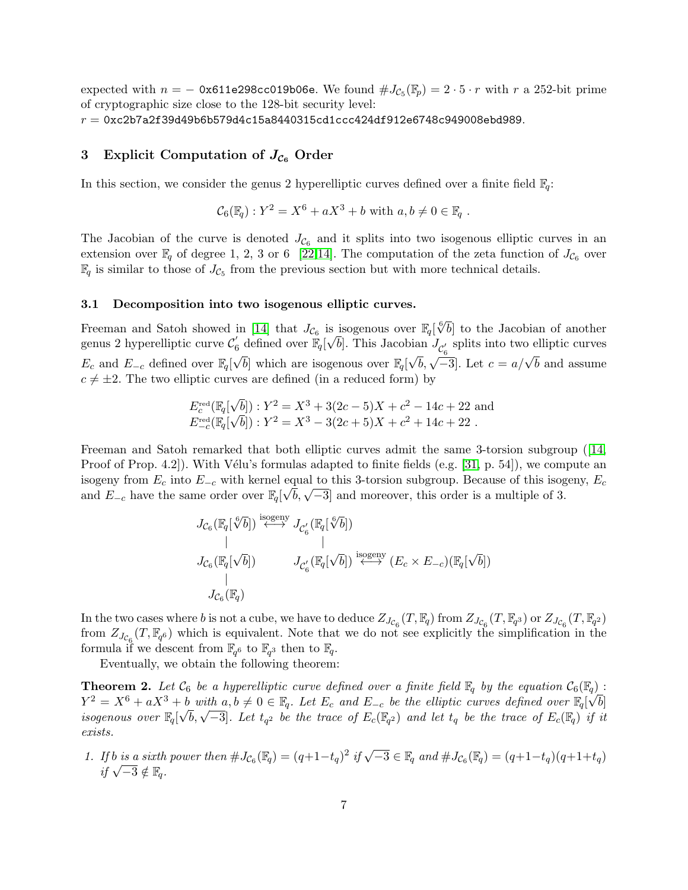expected with  $n = -0x611e298cc019b06e$ . We found  $\#J_{\mathcal{C}_5}(\mathbb{F}_p) = 2 \cdot 5 \cdot r$  with r a 252-bit prime of cryptographic size close to the 128-bit security level:  $r = 0$ xc2b7a2f39d49b6b579d4c15a8440315cd1ccc424df912e6748c949008ebd989.

# 3 Explicit Computation of  $J_{\mathcal{C}_6}$  Order

In this section, we consider the genus 2 hyperelliptic curves defined over a finite field  $\mathbb{F}_q$ :

$$
\mathcal{C}_6(\mathbb{F}_q): Y^2 = X^6 + aX^3 + b \text{ with } a, b \neq 0 \in \mathbb{F}_q .
$$

The Jacobian of the curve is denoted  $J_{\mathcal{C}_6}$  and it splits into two isogenous elliptic curves in an extension over  $\mathbb{F}_q$  of degree 1, 2, 3 or 6 [\[22,](#page-16-14)[14\]](#page-16-13). The computation of the zeta function of  $J_{\mathcal{C}_6}$  over  $\mathbb{F}_q$  is similar to those of  $J_{\mathcal{C}_5}$  from the previous section but with more technical details.

#### <span id="page-6-1"></span>3.1 Decomposition into two isogenous elliptic curves.

Freeman and Satoh showed in [\[14\]](#page-16-13) that  $J_{\mathcal{C}_6}$  is isogenous over  $\mathbb{F}_q[\sqrt[6]{b}]$  to the Jacobian of another genus 2 hyperelliptic curve  $\mathcal{C}'_6$  defined over  $\mathbb{F}_q[\sqrt{b}]$ . This Jacobian  $J_{\mathcal{C}'_6}$  splits into two elliptic curves  $E_c$  and  $E_{-c}$  defined over  $\mathbb{F}_q[\sqrt{b}]$  which are isogenous over  $\mathbb{F}_q[\sqrt{b}, \sqrt{-3}]$ . Let  $c = a/\sqrt{b}$  and assume  $\sqrt{2}$  (a)  $\sqrt{2}$  (b)  $\sqrt{2}$  (c)  $\sqrt{2}$  (c)  $\sqrt{2}$  $c \neq \pm 2$ . The two elliptic curves are defined (in a reduced form) by

$$
E_{c}^{\text{red}}(\mathbb{F}_{q}[\sqrt{b}]): Y^{2} = X^{3} + 3(2c - 5)X + c^{2} - 14c + 22
$$
 and  

$$
E_{-c}^{\text{red}}(\mathbb{F}_{q}[\sqrt{b}]): Y^{2} = X^{3} - 3(2c + 5)X + c^{2} + 14c + 22
$$
.

Freeman and Satoh remarked that both elliptic curves admit the same 3-torsion subgroup ([\[14,](#page-16-13) Proof of Prop. 4.2.). With Vélu's formulas adapted to finite fields (e.g.  $[31, p. 54]$  $[31, p. 54]$ ), we compute an isogeny from  $E_c$  into  $E_{-c}$  with kernel equal to this 3-torsion subgroup. Because of this isogeny,  $E_c$ and  $E_{-c}$  have the same order over  $\mathbb{F}_q[\sqrt{b}, \sqrt{-3}]$  and moreover, this order is a multiple of 3.

<span id="page-6-0"></span>
$$
J_{\mathcal{C}_6}(\mathbb{F}_q[\sqrt[6]{b}]) \stackrel{\text{isogeny}}{\longleftrightarrow} J_{\mathcal{C}_6'}(\mathbb{F}_q[\sqrt[6]{b}])
$$
  
 
$$
J_{\mathcal{C}_6}(\mathbb{F}_q[\sqrt{b}]) \qquad J_{\mathcal{C}_6'}(\mathbb{F}_q[\sqrt{b}]) \stackrel{\text{isogeny}}{\longleftrightarrow} (E_c \times E_{-c})(\mathbb{F}_q[\sqrt{b}])
$$
  
 
$$
J_{\mathcal{C}_6}(\mathbb{F}_q)
$$

In the two cases where b is not a cube, we have to deduce  $Z_{J_{\mathcal{C}_6}}(T,\mathbb{F}_q)$  from  $Z_{J_{\mathcal{C}_6}}(T,\mathbb{F}_{q^3})$  or  $Z_{J_{\mathcal{C}_6}}(T,\mathbb{F}_{q^2})$ from  $Z_{J_{\mathcal{C}_6}}(T,\mathbb{F}_{q^6})$  which is equivalent. Note that we do not see explicitly the simplification in the formula if we descent from  $\mathbb{F}_{q^6}$  to  $\mathbb{F}_{q^3}$  then to  $\mathbb{F}_q$ .

Eventually, we obtain the following theorem:

**Theorem 2.** Let  $\mathcal{C}_6$  be a hyperelliptic curve defined over a finite field  $\mathbb{F}_q$  by the equation  $\mathcal{C}_6(\mathbb{F}_q)$ :  $Y^2 = X^6 + aX^3 + b$  with  $a, b \neq 0 \in \mathbb{F}_q$ . Let  $E_c$  and  $E_{-c}$  be the elliptic curves defined over  $\mathbb{F}_q[\sqrt{b}]$  $I = \Lambda + u\Lambda + v$  with  $u, v \neq 0 \in \mathbb{F}_q$ . Let  $L_c$  and  $L_c$  be the empire curves defined over  $\mathbb{F}_q[\nabla v]$  isogenous over  $\mathbb{F}_q[\sqrt{b}, \sqrt{-3}]$ . Let  $t_{q^2}$  be the trace of  $E_c(\mathbb{F}_q)$  and let  $t_q$  be the trace of  $E_c(\mathbb{$ exists.

1. If b is a sixth power then  $\#J_{\mathcal{C}_6}(\mathbb{F}_q) = (q+1-t_q)^2$  if  $\sqrt{-3} \in \mathbb{F}_q$  and  $\#J_{\mathcal{C}_6}(\mathbb{F}_q) = (q+1-t_q)(q+1+t_q)$  $if \sqrt{-3} \notin \mathbb{F}_q.$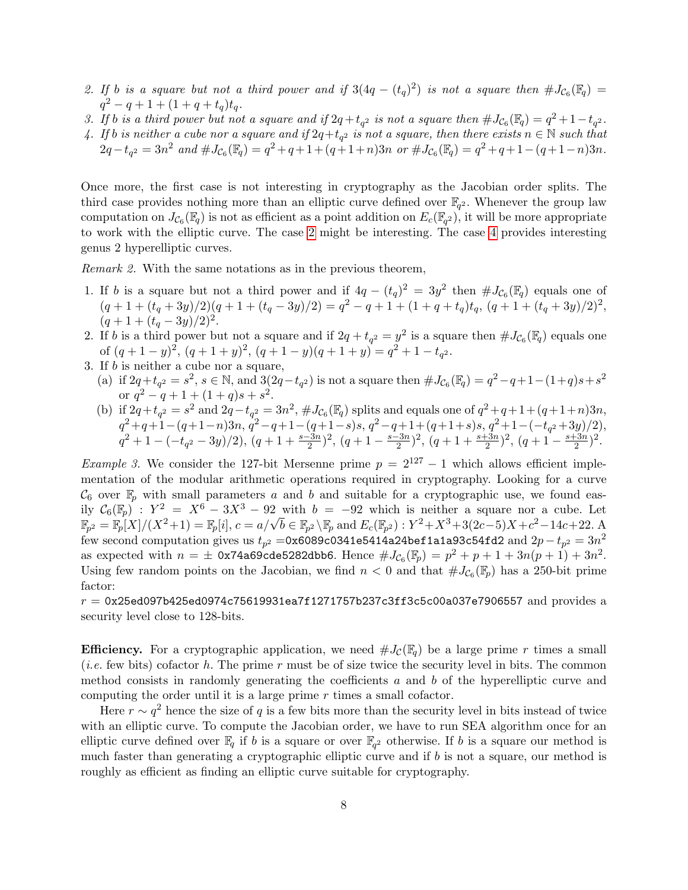- <span id="page-7-0"></span>2. If b is a square but not a third power and if  $3(4q-(t_q)^2)$  is not a square then  $\#J_{\mathcal{C}_6}(\mathbb{F}_q)$  =  $q^2 - q + 1 + (1 + q + t_q)t_q.$
- <span id="page-7-2"></span>3. If b is a third power but not a square and if  $2q+t_{q^2}$  is not a square then  $\#J_{C_6}(\mathbb{F}_q) = q^2+1-t_{q^2}$ .
- <span id="page-7-1"></span>4. If b is neither a cube nor a square and if  $2q+t_{q^2}$  is not a square, then there exists  $n \in \mathbb{N}$  such that  $2q-t_{q^2}=3n^2$  and  $\#J_{\mathcal{C}_6}(\mathbb{F}_q)=q^2+q+1+(q+1+n)3n$  or  $\#J_{\mathcal{C}_6}(\mathbb{F}_q)=q^2+q+1-(q+1-n)3n$ .

Once more, the first case is not interesting in cryptography as the Jacobian order splits. The third case provides nothing more than an elliptic curve defined over  $\mathbb{F}_{q^2}$ . Whenever the group law computation on  $J_{\mathcal{C}_6}(\mathbb{F}_q)$  is not as efficient as a point addition on  $E_c(\mathbb{F}_{q^2})$ , it will be more appropriate to work with the elliptic curve. The case [2](#page-7-0) might be interesting. The case [4](#page-7-1) provides interesting genus 2 hyperelliptic curves.

<span id="page-7-3"></span>Remark 2. With the same notations as in the previous theorem,

- <span id="page-7-4"></span>1. If b is a square but not a third power and if  $4q - (t_q)^2 = 3y^2$  then  $\#J_{C_6}(\mathbb{F}_q)$  equals one of  $(q+1+(t_q+3y)/2)(q+1+(t_q-3y)/2) = q^2-q+1+(1+q+t_q)t_q, (q+1+(t_q+3y)/2)^2,$  $(q+1+(t_q-3y)/2)^2$ .
- 2. If b is a third power but not a square and if  $2q + t_{q^2} = y^2$  is a square then  $\#J_{\mathcal{C}_6}(\mathbb{F}_q)$  equals one of  $(q+1-y)^2$ ,  $(q+1+y)^2$ ,  $(q+1-y)(q+1+y) = q^2 + 1 - t_{q^2}$ .
- <span id="page-7-5"></span>3. If b is neither a cube nor a square,
	- (a) if  $2q+t_{q^2}=s^2$ ,  $s \in \mathbb{N}$ , and  $3(2q-t_{q^2})$  is not a square then  $\#J_{\mathcal{C}_6}(\mathbb{F}_q)=q^2-q+1-(1+q)s+s^2$ or  $q^2 - q + 1 + (1+q)s + s^2$ .
	- (b) if  $2q + t_{q^2} = s^2$  and  $2q t_{q^2} = 3n^2$ ,  $\#J_{\mathcal{C}_6}(\mathbb{F}_q)$  splits and equals one of  $q^2 + q + 1 + (q + 1 + n)3n$ ,  $q^2+q+1-(q+1-n)3n, q^2-q+1-(q+1-s)s, q^2-q+1+(q+1+s)s, q^2+1-(-t_{q^2}+3y)/2),$  $q^2+1-(-t_{q^2}-3y)/2), (q+1+\frac{s-3n}{2})^2, (q+1-\frac{s-3n}{2})$  $\left[\frac{(-3n)}{2}\right]^2$ ,  $\left(q+1+\frac{s+3n}{2}\right)^2$ ,  $\left(q+1-\frac{s+3n}{2}\right)$  $(\frac{-3n}{2})^2$ .

Example 3. We consider the 127-bit Mersenne prime  $p = 2^{127} - 1$  which allows efficient implementation of the modular arithmetic operations required in cryptography. Looking for a curve  $\mathcal{C}_6$  over  $\mathbb{F}_p$  with small parameters a and b and suitable for a cryptographic use, we found easily  $C_6(\mathbb{F}_p)$ :  $Y^2 = X^6 - 3X^3 - 92$  with  $b = -92$  which is neither a square nor a cube. Let if  $C_6(\mathbb{F}_p)$  :  $Y^* = X^* - 3X^* - 92$  with  $v = -92$  which is helther a square nor a cube. Let  $\mathbb{F}_{p^2} = \mathbb{F}_p[X]/(X^2+1) = \mathbb{F}_p[i], c = a/\sqrt{b} \in \mathbb{F}_{p^2} \setminus \mathbb{F}_p$  and  $E_c(\mathbb{F}_{p^2})$  :  $Y^2 + X^3 + 3(2c-5)X + c^2 - 14c + 22$ . A few second computation gives us  $t_{p^2} = 0$ x6089c0341e5414a24bef1a1a93c54fd2 and  $2p - t_{p^2} = 3n^2$ as expected with  $n = \pm 0$ x74a69cde5282dbb6. Hence  $\#J_{\mathcal{C}_6}(\mathbb{F}_p) = p^2 + p + 1 + 3n(p+1) + 3n^2$ . Using few random points on the Jacobian, we find  $n < 0$  and that  $\#J_{\mathcal{C}_6}(\mathbb{F}_p)$  has a 250-bit prime factor:

 $r = 0x25$ ed097b425ed0974c75619931ea7f1271757b237c3ff3c5c00a037e7906557 and provides a security level close to 128-bits.

**Efficiency.** For a cryptographic application, we need  $\#J_{\mathcal{C}}(\mathbb{F}_q)$  be a large prime r times a small (*i.e.* few bits) cofactor h. The prime r must be of size twice the security level in bits. The common method consists in randomly generating the coefficients  $a$  and  $b$  of the hyperelliptic curve and computing the order until it is a large prime r times a small cofactor.

Here  $r \sim q^2$  hence the size of q is a few bits more than the security level in bits instead of twice with an elliptic curve. To compute the Jacobian order, we have to run SEA algorithm once for an elliptic curve defined over  $\mathbb{F}_q$  if b is a square or over  $\mathbb{F}_{q^2}$  otherwise. If b is a square our method is much faster than generating a cryptographic elliptic curve and if b is not a square, our method is roughly as efficient as finding an elliptic curve suitable for cryptography.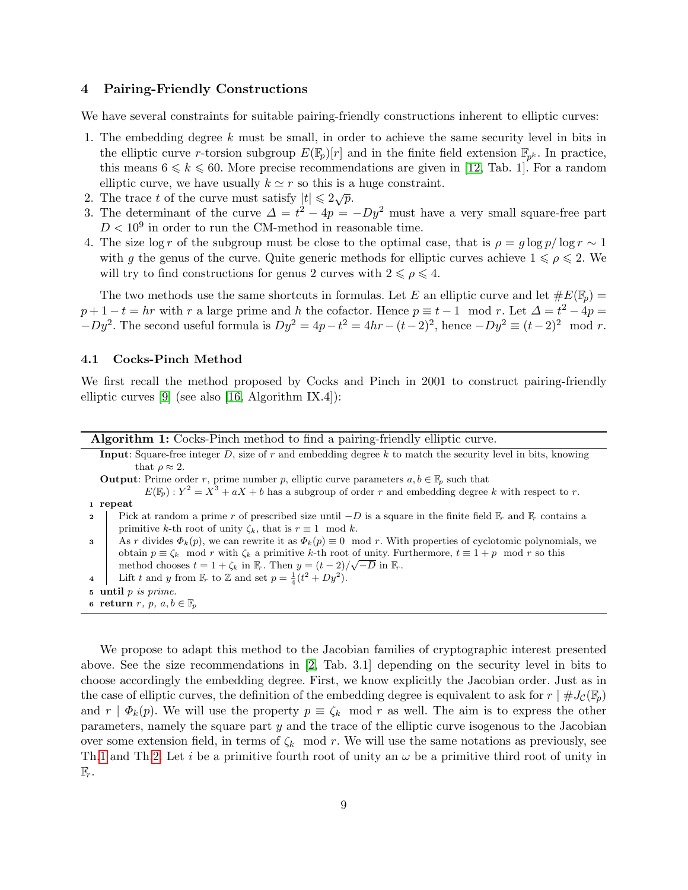# 4 Pairing-Friendly Constructions

We have several constraints for suitable pairing-friendly constructions inherent to elliptic curves:

- 1. The embedding degree k must be small, in order to achieve the same security level in bits in the elliptic curve r-torsion subgroup  $E(\mathbb{F}_p)[r]$  and in the finite field extension  $\mathbb{F}_{p^k}$ . In practice, this means  $6 \le k \le 60$ . More precise recommendations are given in [\[12,](#page-16-7) Tab. 1]. For a random elliptic curve, we have usually  $k \simeq r$  so this is a huge constraint.
- 2. The trace t of the curve must satisfy  $|t| \leq 2\sqrt{p}$ .
- 3. The determinant of the curve  $\Delta = t^2 4p = -Dy^2$  must have a very small square-free part  $D < 10<sup>9</sup>$  in order to run the CM-method in reasonable time.
- 4. The size log r of the subgroup must be close to the optimal case, that is  $\rho = g \log p / \log r \sim 1$ with g the genus of the curve. Quite generic methods for elliptic curves achieve  $1 \le \rho \le 2$ . We will try to find constructions for genus 2 curves with  $2 \leq \rho \leq 4$ .

The two methods use the same shortcuts in formulas. Let E an elliptic curve and let  $\#E(\mathbb{F}_p)$  =  $p+1-t = hr$  with r a large prime and h the cofactor. Hence  $p \equiv t-1 \mod r$ . Let  $\Delta = t^2 - 4p =$  $-Dy^2$ . The second useful formula is  $Dy^2 = 4p - t^2 = 4hr - (t-2)^2$ , hence  $-Dy^2 \equiv (t-2)^2 \mod r$ .

# 4.1 Cocks-Pinch Method

We first recall the method proposed by Cocks and Pinch in 2001 to construct pairing-friendly elliptic curves [\[9\]](#page-16-17) (see also [\[16,](#page-16-18) Algorithm IX.4]):

| <b>Algorithm 1:</b> Cocks-Pinch method to find a pairing-friendly elliptic curve. |  |  |  |  |  |
|-----------------------------------------------------------------------------------|--|--|--|--|--|
|                                                                                   |  |  |  |  |  |

Input: Square-free integer  $D$ , size of  $r$  and embedding degree  $k$  to match the security level in bits, knowing that  $\rho \approx 2$ .

**Output:** Prime order r, prime number p, elliptic curve parameters  $a, b \in \mathbb{F}_p$  such that

- $E(\mathbb{F}_p): Y^2 = X^3 + aX + b$  has a subgroup of order r and embedding degree k with respect to r. <sup>1</sup> repeat
- 2 Pick at random a prime r of prescribed size until  $-D$  is a square in the finite field  $\mathbb{F}_r$  and  $\mathbb{F}_r$  contains a primitive k-th root of unity  $\zeta_k$ , that is  $r \equiv 1 \mod k$ .

3 As r divides  $\Phi_k(p)$ , we can rewrite it as  $\Phi_k(p) \equiv 0 \mod r$ . With properties of cyclotomic polynomials, we obtain  $p \equiv \zeta_k \mod r$  with  $\zeta_k$  a primitive k-th root of unity. Furthermore,  $t \equiv 1 + p \mod r$  so this method chooses  $t = 1 + \zeta_k$  in  $\mathbb{F}_r$ . Then  $y = (t - 2)/\sqrt{-D}$  in  $\mathbb{F}_r$ .

4 | Lift t and y from  $\mathbb{F}_r$  to Z and set  $p = \frac{1}{4}(t^2 + Dy^2)$ .

<sup>5</sup> until p is prime.

6 return r, p,  $a, b \in \mathbb{F}_p$ 

We propose to adapt this method to the Jacobian families of cryptographic interest presented above. See the size recommendations in [\[2,](#page-15-2) Tab. 3.1] depending on the security level in bits to choose accordingly the embedding degree. First, we know explicitly the Jacobian order. Just as in the case of elliptic curves, the definition of the embedding degree is equivalent to ask for  $r \mid #J_{\mathcal{C}}(\mathbb{F}_p)$ and  $r | \Phi_k(p)$ . We will use the property  $p \equiv \zeta_k \mod r$  as well. The aim is to express the other parameters, namely the square part  $y$  and the trace of the elliptic curve isogenous to the Jacobian over some extension field, in terms of  $\zeta_k$  mod r. We will use the same notations as previously, see Th[.1](#page-4-3) and Th[.2.](#page-6-0) Let i be a primitive fourth root of unity an  $\omega$  be a primitive third root of unity in  $\mathbb{F}_r$ .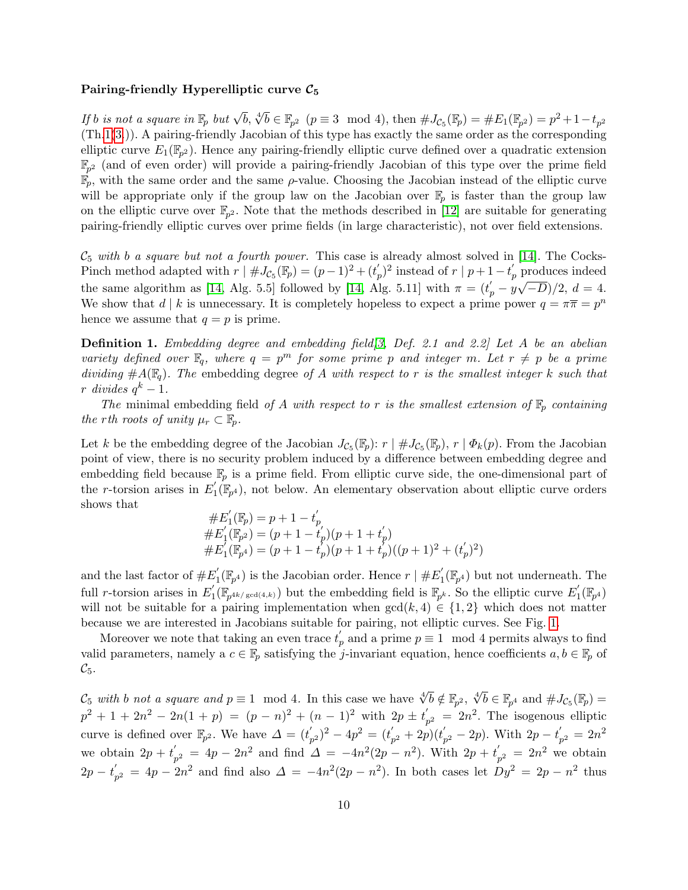#### Pairing-friendly Hyperelliptic curve  $C_5$

If b is not a square in  $\mathbb{F}_p$  but  $\sqrt{b}$ ,  $\sqrt[4]{b} \in \mathbb{F}_{p^2}$   $(p \equiv 3 \mod 4)$ , then  $\#J_{\mathcal{C}_5}(\mathbb{F}_p) = \#E_1(\mathbb{F}_{p^2}) = p^2 + 1 - t_{p^2}$ (Th[.1\(](#page-4-3)[3.](#page-4-5))). A pairing-friendly Jacobian of this type has exactly the same order as the corresponding elliptic curve  $E_1(\mathbb{F}_{p^2})$ . Hence any pairing-friendly elliptic curve defined over a quadratic extension  $\mathbb{F}_{p^2}$  (and of even order) will provide a pairing-friendly Jacobian of this type over the prime field  $\mathbb{F}_p$ , with the same order and the same  $\rho$ -value. Choosing the Jacobian instead of the elliptic curve will be appropriate only if the group law on the Jacobian over  $\mathbb{F}_p$  is faster than the group law on the elliptic curve over  $\mathbb{F}_{p^2}$ . Note that the methods described in [\[12\]](#page-16-7) are suitable for generating pairing-friendly elliptic curves over prime fields (in large characteristic), not over field extensions.

 $\mathcal{C}_5$  with b a square but not a fourth power. This case is already almost solved in [\[14\]](#page-16-13). The Cocks-Pinch method adapted with  $r \mid \#J_{\mathcal{C}_5}(\mathbb{F}_p) = (p-1)^2 + (t'_p)^2$  instead of  $r \mid p+1-t'_p$  produces indeed the same algorithm as [\[14,](#page-16-13) Alg. 5.5] followed by [14, Alg. 5.11] with  $\pi = (t_p' - y\sqrt{-D})/2, d = 4$ . We show that d | k is unnecessary. It is completely hopeless to expect a prime power  $q = \pi \overline{\pi} = p^n$ hence we assume that  $q = p$  is prime.

**Definition 1.** Embedding degree and embedding field  $\beta$ , Def. 2.1 and 2.2 Let A be an abelian variety defined over  $\mathbb{F}_q$ , where  $q = p^m$  for some prime p and integer m. Let  $r \neq p$  be a prime dividing  $#A(\mathbb{F}_q)$ . The embedding degree of A with respect to r is the smallest integer k such that  $r \,$  divides  $q^k-1$ .

The minimal embedding field of A with respect to r is the smallest extension of  $\mathbb{F}_p$  containing the rth roots of unity  $\mu_r \subset \mathbb{F}_p$ .

Let k be the embedding degree of the Jacobian  $J_{\mathcal{C}_5}(\mathbb{F}_p)$ :  $r \mid \# J_{\mathcal{C}_5}(\mathbb{F}_p)$ ,  $r \mid \Phi_k(p)$ . From the Jacobian point of view, there is no security problem induced by a difference between embedding degree and embedding field because  $\mathbb{F}_p$  is a prime field. From elliptic curve side, the one-dimensional part of the *r*-torsion arises in  $E_1'$  $\mathcal{L}_1(\mathbb{F}_{p^4})$ , not below. An elementary observation about elliptic curve orders shows that

$$
\begin{array}{l} \#E_1'(\mathbb{F}_p) = p + 1 - t'_p\\ \#E_1'(\mathbb{F}_{p^2}) = (p + 1 - t'_p)(p + 1 + t'_p)\\ \#E_1'(\mathbb{F}_{p^4}) = (p + 1 - t'_p)(p + 1 + t'_p)((p + 1)^2 + (t'_p)^2)\end{array}
$$

and the last factor of  $#E'_1$  $j_{1}(\mathbb{F}_{p^{4}})$  is the Jacobian order. Hence  $r \mid \#E_{1}^{'}$  $j'_1(\mathbb{F}_{p^4})$  but not underneath. The full *r*-torsion arises in  $E_1'$  $\int_{1}^{'}(\mathbb{F}_{p^{4k/\gcd(4,k)}})$  but the embedding field is  $\mathbb{F}_{p^k}$ . So the elliptic curve  $E'_1$  $_1^{\prime}(\mathbb{F}_{p^4})$ will not be suitable for a pairing implementation when  $gcd(k, 4) \in \{1, 2\}$  which does not matter because we are interested in Jacobians suitable for pairing, not elliptic curves. See Fig. [1.](#page-10-0)

Moreover we note that taking an even trace  $t'_p$  and a prime  $p \equiv 1 \mod 4$  permits always to find valid parameters, namely a  $c \in \mathbb{F}_p$  satisfying the j-invariant equation, hence coefficients  $a, b \in \mathbb{F}_p$  of  $\mathcal{C}_5$ .

 $\mathcal{C}_5$  with b not a square and  $p \equiv 1 \mod 4$ . In this case we have  $\sqrt[4]{b} \notin \mathbb{F}_{p^2}$ ,  $\sqrt[4]{b} \in \mathbb{F}_{p^4}$  and  $\#J_{\mathcal{C}_5}(\mathbb{F}_p)$  =  $p^2 + 1 + 2n^2 - 2n(1 + p) = (p - n)^2 + (n - 1)^2$  with  $2p \pm t'_n$  $p_2 = 2n^2$ . The isogenous elliptic curve is defined over  $\mathbb{F}_{p^2}$ . We have  $\Delta = (t'_p)$  $(p^2)^2 - 4p^2 = (t'_p)$  $p_{p^2}^{'} + 2p)(t_{p}^{'}$  $p'_{p^2} - 2p$ ). With  $2p - t'_p$  $p_{p^2}^{\prime} = 2n^2$ we obtain  $2p + t'$  $p'_p = 4p - 2n^2$  and find  $\Delta = -4n^2(2p - n^2)$ . With  $2p + t'_p$  $p_2 = 2n^2$  we obtain  $2p-t^{\prime}_{\ast}$  $p'_p = 4p - 2n^2$  and find also  $\Delta = -4n^2(2p - n^2)$ . In both cases let  $Dy^2 = 2p - n^2$  thus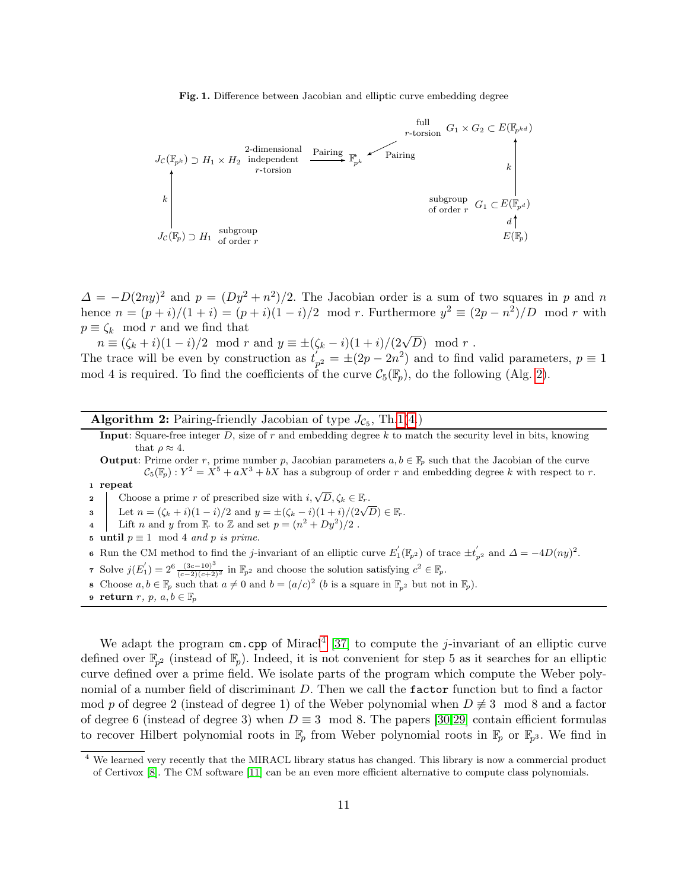<span id="page-10-0"></span>Fig. 1. Difference between Jacobian and elliptic curve embedding degree



 $\Delta = -D(2ny)^2$  and  $p = (Dy^2 + n^2)/2$ . The Jacobian order is a sum of two squares in p and n hence  $n = (p+i)/(1+i) = (p+i)(1-i)/2 \mod r$ . Furthermore  $y^2 \equiv (2p - n^2)/D \mod r$  with  $p \equiv \zeta_k \mod r$  and we find that

 $n \equiv (\zeta_k + i)(1 - i)/2 \mod r$  and  $y \equiv \pm (\zeta_k - i)(1 + i)/(2\sqrt{D}) \mod r$ .

The trace will be even by construction as  $t'$ ,  $p'_{p^2} = \pm (2p - 2n^2)$  and to find valid parameters,  $p \equiv 1$ mod 4 is required. To find the coefficients of the curve  $C_5(\mathbb{F}_p)$ , do the following (Alg. [2\)](#page-10-1).

**Algorithm 2:** Pairing-friendly Jacobian of type  $J_{\mathcal{C}_5}$ , Th[.1](#page-4-3)[\(4.](#page-4-6))

Input: Square-free integer  $D$ , size of  $r$  and embedding degree  $k$  to match the security level in bits, knowing that  $\rho \approx 4$ .

**Output:** Prime order r, prime number p, Jacobian parameters  $a, b \in \mathbb{F}_p$  such that the Jacobian of the curve  $\mathcal{C}_5(\mathbb{F}_p): Y^2 = X^5 + aX^3 + bX$  has a subgroup of order r and embedding degree k with respect to r.

<sup>1</sup> repeat

**2** Choose a prime r of prescribed size with  $i, \sqrt{D}, \zeta_k \in \mathbb{F}_r$ .

3 Let  $n = (\zeta_k + i)(1 - i)/2$  and  $y = \pm(\zeta_k - i)(1 + i)/(2\sqrt{D}) \in \mathbb{F}_r$ .

- 4 Lift n and y from  $\mathbb{F}_r$  to Z and set  $p = (n^2 + Dy^2)/2$ .
- 5 until  $p \equiv 1 \mod 4$  and p is prime.

6 Run the CM method to find the *j*-invariant of an elliptic curve  $E_1'(\mathbb{F}_{p^2})$  of trace  $\pm t_{p^2}'$  and  $\Delta = -4D(ny)^2$ .

- 7 Solve  $j(E_1) = 2^6 \frac{(3c-10)^3}{(c-2)(c+2)^2}$  in  $\mathbb{F}_{p^2}$  and choose the solution satisfying  $c^2 \in \mathbb{F}_p$ .
- 8 Choose  $a, b \in \mathbb{F}_p$  such that  $a \neq 0$  and  $b = (a/c)^2$  (b is a square in  $\mathbb{F}_{p^2}$  but not in  $\mathbb{F}_p$ ).
- <span id="page-10-1"></span>9 return  $r, p, a, b \in \mathbb{F}_p$

We adapt the program  $cm.cpp$  of Miracl<sup>[4](#page-10-2)</sup> [\[37\]](#page-17-4) to compute the *j*-invariant of an elliptic curve defined over  $\mathbb{F}_{p^2}$  (instead of  $\mathbb{F}_p$ ). Indeed, it is not convenient for step 5 as it searches for an elliptic curve defined over a prime field. We isolate parts of the program which compute the Weber polynomial of a number field of discriminant D. Then we call the factor function but to find a factor mod p of degree 2 (instead of degree 1) of the Weber polynomial when  $D \neq 3 \mod 8$  and a factor of degree 6 (instead of degree 3) when  $D \equiv 3 \mod 8$ . The papers [\[30](#page-16-20)[,29\]](#page-16-21) contain efficient formulas to recover Hilbert polynomial roots in  $\mathbb{F}_p$  from Weber polynomial roots in  $\mathbb{F}_p$  or  $\mathbb{F}_{p^3}$ . We find in

<span id="page-10-2"></span><sup>4</sup> We learned very recently that the MIRACL library status has changed. This library is now a commercial product of Certivox [\[8\]](#page-16-22). The CM software [\[11\]](#page-16-23) can be an even more efficient alternative to compute class polynomials.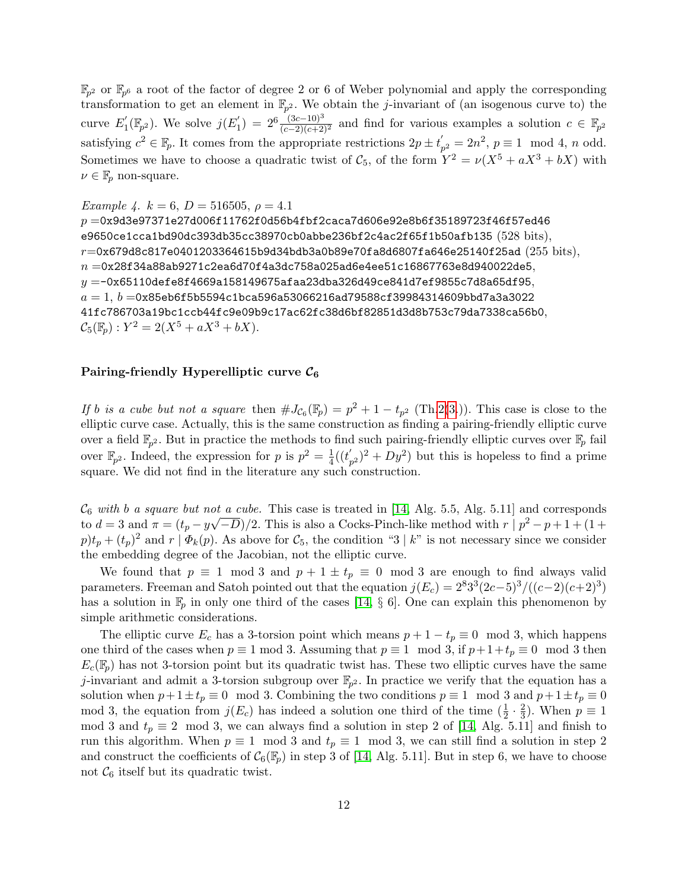$\mathbb{F}_{p^2}$  or  $\mathbb{F}_{p^6}$  a root of the factor of degree 2 or 6 of Weber polynomial and apply the corresponding transformation to get an element in  $\mathbb{F}_{p^2}$ . We obtain the *j*-invariant of (an isogenous curve to) the curve  $E_1^{'}$  $j(\mathbb{F}_{p^2})$ . We solve  $j(E'_1)$  $\zeta_1'$ ) =  $2^6 \frac{(3c-10)^3}{(c-2)(c+2)^2}$  and find for various examples a solution  $c \in \mathbb{F}_{p^2}$ satisfying  $c^2 \in \mathbb{F}_p$ . It comes from the appropriate restrictions  $2p \pm t'_p$  $p'_{p^2} = 2n^2, p \equiv 1 \mod 4, n \text{ odd}.$ Sometimes we have to choose a quadratic twist of  $\mathcal{C}_5$ , of the form  $Y^2 = \nu(X^5 + aX^3 + bX)$  with  $\nu \in \mathbb{F}_p$  non-square.

Example 4.  $k = 6, D = 516505, \rho = 4.1$ 

 $p = 0x9d3e97371e27d006f11762f0d56b4fbf2caca7d606e92e8b6f35189723f46f57ed46$ e9650ce1cca1bd90dc393db35cc38970cb0abbe236bf2c4ac2f65f1b50afb135 (528 bits),  $r$ =0x679d8c817e0401203364615b9d34bdb3a0b89e70fa8d6807fa646e25140f25ad (255 bits),  $n = 0$ x28f34a88ab9271c2ea6d70f4a3dc758a025ad6e4ee51c16867763e8d940022de5,  $y = -0x65110$ defe $8f4669a158149675afaa23dba326d49ce841d7ef9855c7d8a65df95,$  $a = 1, b = 0$ x85eb6f5b5594c1bca596a53066216ad79588cf39984314609bbd7a3a3022 41fc786703a19bc1ccb44fc9e09b9c17ac62fc38d6bf82851d3d8b753c79da7338ca56b0,  $C_5(\mathbb{F}_p) : Y^2 = 2(X^5 + aX^3 + bX).$ 

# Pairing-friendly Hyperelliptic curve  $\mathcal{C}_6$

If b is a cube but not a square then  $\#J_{\mathcal{C}_6}(\mathbb{F}_p) = p^2 + 1 - t_{p^2}$  (Th[.2\(](#page-6-0)[3.](#page-7-2))). This case is close to the elliptic curve case. Actually, this is the same construction as finding a pairing-friendly elliptic curve over a field  $\mathbb{F}_{p^2}$ . But in practice the methods to find such pairing-friendly elliptic curves over  $\mathbb{F}_p$  fail over  $\mathbb{F}_{p^2}$ . Indeed, the expression for p is  $p^2 = \frac{1}{4}$  $\frac{1}{4}((t_{p}^{'}% -t_{p}^{'}))$  $(p_{p^2})^2 + Dy^2$  but this is hopeless to find a prime square. We did not find in the literature any such construction.

 $\mathcal{C}_6$  with b a square but not a cube. This case is treated in [\[14,](#page-16-13) Alg. 5.5, Alg. 5.11] and corresponds to  $d=3$  and  $\pi = (t_p - y\sqrt{-D})/2$ . This is also a Cocks-Pinch-like method with  $r | p^2 - p + 1 + (1 +$  $p)t_p + (t_p)^2$  and  $r \mid \Phi_k(p)$ . As above for  $\mathcal{C}_5$ , the condition "3 | k" is not necessary since we consider the embedding degree of the Jacobian, not the elliptic curve.

We found that  $p \equiv 1 \mod 3$  and  $p + 1 \pm t_p \equiv 0 \mod 3$  are enough to find always valid parameters. Freeman and Satoh pointed out that the equation  $j(E_c) = 2^8 3^3 (2c-5)^3/((c-2)(c+2)^3)$ has a solution in  $\mathbb{F}_p$  in only one third of the cases [\[14,](#page-16-13) § 6]. One can explain this phenomenon by simple arithmetic considerations.

The elliptic curve  $E_c$  has a 3-torsion point which means  $p + 1 - t_p \equiv 0 \mod 3$ , which happens one third of the cases when  $p \equiv 1 \mod 3$ . Assuming that  $p \equiv 1 \mod 3$ , if  $p+1+t_p \equiv 0 \mod 3$  then  $E_c(\mathbb{F}_p)$  has not 3-torsion point but its quadratic twist has. These two elliptic curves have the same j-invariant and admit a 3-torsion subgroup over  $\mathbb{F}_{p^2}$ . In practice we verify that the equation has a solution when  $p+1\pm t_p \equiv 0 \mod 3$ . Combining the two conditions  $p \equiv 1 \mod 3$  and  $p+1\pm t_p \equiv 0$ mod 3, the equation from  $j(E_c)$  has indeed a solution one third of the time  $(\frac{1}{2} \cdot \frac{2}{3})$  $\frac{2}{3}$ ). When  $p \equiv 1$ mod 3 and  $t_p \equiv 2 \mod 3$ , we can always find a solution in step 2 of [\[14,](#page-16-13) Alg. 5.11] and finish to run this algorithm. When  $p \equiv 1 \mod 3$  and  $t_p \equiv 1 \mod 3$ , we can still find a solution in step 2 and construct the coefficients of  $\mathcal{C}_6(\mathbb{F}_p)$  in step 3 of [\[14,](#page-16-13) Alg. 5.11]. But in step 6, we have to choose not  $\mathcal{C}_6$  itself but its quadratic twist.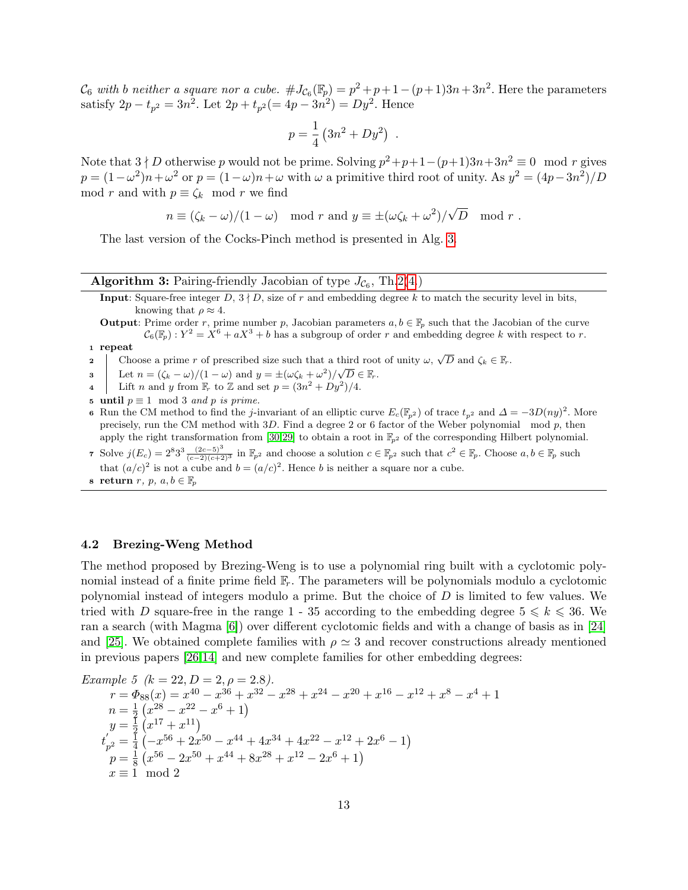$\mathcal{C}_6$  with b neither a square nor a cube.  $\#J_{\mathcal{C}_6}(\mathbb{F}_p) = p^2 + p + 1 - (p+1)3n + 3n^2$ . Here the parameters satisfy  $2p - t_{p^2} = 3n^2$ . Let  $2p + t_{p^2} (= 4p - 3n^2) = Dy^2$ . Hence

$$
p = \frac{1}{4} (3n^2 + Dy^2) .
$$

Note that  $3 \nmid D$  otherwise p would not be prime. Solving  $p^2+p+1-(p+1)3n+3n^2 \equiv 0 \mod r$  gives  $p = (1 - \omega^2)n + \omega^2$  or  $p = (1 - \omega)n + \omega$  with  $\omega$  a primitive third root of unity. As  $y^2 = (4p - 3n^2)/D$ mod r and with  $p \equiv \zeta_k \mod r$  we find

$$
n \equiv (\zeta_k - \omega)/(1 - \omega) \mod r
$$
 and  $y \equiv \pm (\omega \zeta_k + \omega^2)/\sqrt{D} \mod r$ .

The last version of the Cocks-Pinch method is presented in Alg. [3.](#page-12-0)

# **Algorithm 3:** Pairing-friendly Jacobian of type  $J_{\mathcal{C}_6}$ , Th[.2](#page-6-0)[\(4.](#page-7-1))

- Input: Square-free integer  $D$ ,  $3 \nmid D$ , size of r and embedding degree k to match the security level in bits, knowing that  $\rho \approx 4$ .
- **Output:** Prime order r, prime number p, Jacobian parameters  $a, b \in \mathbb{F}_p$  such that the Jacobian of the curve  $\mathcal{C}_6(\mathbb{F}_p): Y^2 = X^6 + aX^3 + b$  has a subgroup of order r and embedding degree k with respect to r.

#### <sup>1</sup> repeat

- 2 Choose a prime r of prescribed size such that a third root of unity  $\omega$ ,  $\sqrt{D}$  and  $\zeta_k \in \mathbb{F}_r$ .
- **3** Let  $n = (\zeta_k \omega)/(1 \omega)$  and  $y = \pm (\omega \zeta_k + \omega^2)/\sqrt{D} \in \mathbb{F}_r$ .
- 4 Lift n and y from  $\mathbb{F}_r$  to Z and set  $p = (3n^2 + Dy^2)/4$ .
- 5 until  $p \equiv 1 \mod 3$  and p is prime.
- 6 Run the CM method to find the j-invariant of an elliptic curve  $E_c(\mathbb{F}_{p^2})$  of trace  $t_{p^2}$  and  $\Delta = -3D(ny)^2$ . More precisely, run the CM method with  $3D$ . Find a degree 2 or 6 factor of the Weber polynomial mod  $p$ , then apply the right transformation from [\[30,](#page-16-20)[29\]](#page-16-21) to obtain a root in  $\mathbb{F}_{p^2}$  of the corresponding Hilbert polynomial.
- <span id="page-12-0"></span>7 Solve  $j(E_c) = 2^8 3^3 \frac{(2c-5)^3}{(c-2)(c+2)^3}$  in  $\mathbb{F}_{p^2}$  and choose a solution  $c \in \mathbb{F}_{p^2}$  such that  $c^2 \in \mathbb{F}_p$ . Choose  $a, b \in \mathbb{F}_p$  such that  $(a/c)^2$  is not a cube and  $b = (a/c)^2$ . Hence b is neither a square nor a cube.
- 8 return  $r, p, a, b \in \mathbb{F}_p$

#### 4.2 Brezing-Weng Method

The method proposed by Brezing-Weng is to use a polynomial ring built with a cyclotomic polynomial instead of a finite prime field  $\mathbb{F}_r$ . The parameters will be polynomials modulo a cyclotomic polynomial instead of integers modulo a prime. But the choice of  $D$  is limited to few values. We tried with D square-free in the range 1 - 35 according to the embedding degree  $5 \le k \le 36$ . We ran a search (with Magma [\[6\]](#page-15-6)) over different cyclotomic fields and with a change of basis as in [\[24\]](#page-16-24) and [\[25\]](#page-16-12). We obtained complete families with  $\rho \simeq 3$  and recover constructions already mentioned in previous papers [\[26,](#page-16-11)[14\]](#page-16-13) and new complete families for other embedding degrees:

Example 5 (k = 22, D = 2, 
$$
\rho
$$
 = 2.8).  
\n
$$
r = \Phi_{88}(x) = x^{40} - x^{36} + x^{32} - x^{28} + x^{24} - x^{20} + x^{16} - x^{12} + x^8 - x^4 + 1
$$
\n
$$
n = \frac{1}{2} (x^{28} - x^{22} - x^6 + 1)
$$
\n
$$
y = \frac{1}{2} (x^{17} + x^{11})
$$
\n
$$
t'_{p^2} = \frac{1}{4} (-x^{56} + 2x^{50} - x^{44} + 4x^{34} + 4x^{22} - x^{12} + 2x^6 - 1)
$$
\n
$$
p = \frac{1}{8} (x^{56} - 2x^{50} + x^{44} + 8x^{28} + x^{12} - 2x^6 + 1)
$$
\n
$$
x \equiv 1 \mod 2
$$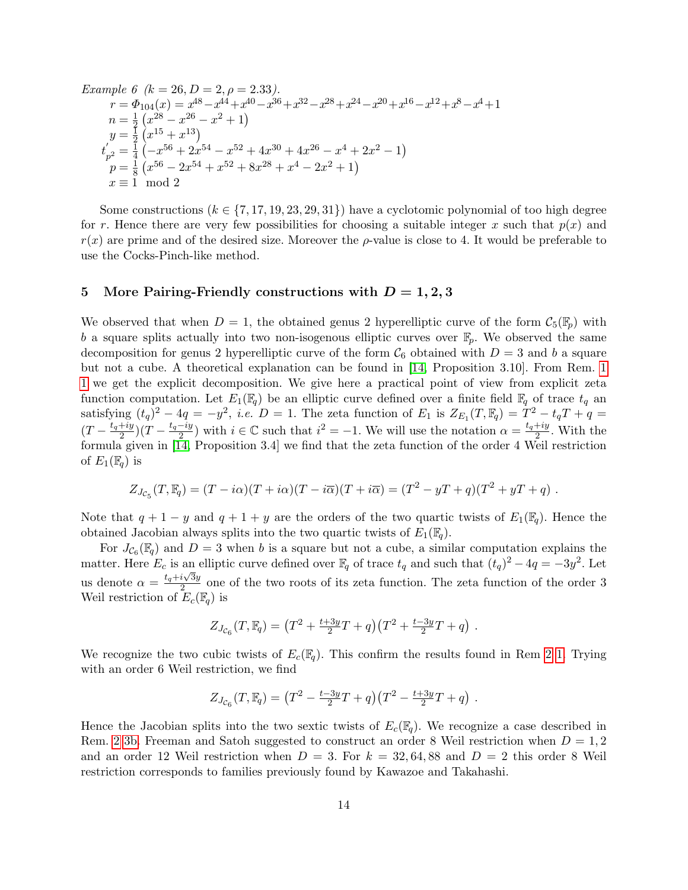Example 6 (k = 26, D = 2, 
$$
\rho
$$
 = 2.33).  
\n
$$
r = \Phi_{104}(x) = x^{48} - x^{44} + x^{40} - x^{36} + x^{32} - x^{28} + x^{24} - x^{20} + x^{16} - x^{12} + x^8 - x^4 + 1
$$
\n
$$
n = \frac{1}{2} (x^{28} - x^{26} - x^2 + 1)
$$
\n
$$
y = \frac{1}{2} (x^{15} + x^{13})
$$
\n
$$
t'_{p^2} = \frac{1}{4} (-x^{56} + 2x^{54} - x^{52} + 4x^{30} + 4x^{26} - x^4 + 2x^2 - 1)
$$
\n
$$
p = \frac{1}{8} (x^{56} - 2x^{54} + x^{52} + 8x^{28} + x^4 - 2x^2 + 1)
$$
\n
$$
x \equiv 1 \mod 2
$$

Some constructions  $(k \in \{7, 17, 19, 23, 29, 31\})$  have a cyclotomic polynomial of too high degree for r. Hence there are very few possibilities for choosing a suitable integer x such that  $p(x)$  and  $r(x)$  are prime and of the desired size. Moreover the  $\rho$ -value is close to 4. It would be preferable to use the Cocks-Pinch-like method.

#### 5 More Pairing-Friendly constructions with  $D = 1, 2, 3$

We observed that when  $D = 1$ , the obtained genus 2 hyperelliptic curve of the form  $\mathcal{C}_5(\mathbb{F}_p)$  with b a square splits actually into two non-isogenous elliptic curves over  $\mathbb{F}_p$ . We observed the same decomposition for genus 2 hyperelliptic curve of the form  $\mathcal{C}_6$  obtained with  $D=3$  and b a square but not a cube. A theoretical explanation can be found in [\[14,](#page-16-13) Proposition 3.10]. From Rem. [1](#page-5-3) [1](#page-5-0) we get the explicit decomposition. We give here a practical point of view from explicit zeta function computation. Let  $E_1(\mathbb{F}_q)$  be an elliptic curve defined over a finite field  $\mathbb{F}_q$  of trace  $t_q$  an satisfying  $(t_q)^2 - 4q = -y^2$ , *i.e.*  $D = 1$ . The zeta function of  $E_1$  is  $Z_{E_1}(T, \mathbb{F}_q) = T^2 - t_qT + q =$  $(T - \frac{t_q + iy}{2})$  $\frac{+iy}{2}(T-\frac{t_q-iy}{2})$  $\frac{-iy}{2}$ ) with  $i \in \mathbb{C}$  such that  $i^2 = -1$ . We will use the notation  $\alpha = \frac{t_q + iy}{2}$  $\frac{+iy}{2}$ . With the formula given in [\[14,](#page-16-13) Proposition 3.4] we find that the zeta function of the order 4 Weil restriction of  $E_1(\mathbb{F}_q)$  is

$$
Z_{J_{\mathcal{C}_5}}(T,\mathbb{F}_q) = (T - i\alpha)(T + i\alpha)(T - i\overline{\alpha})(T + i\overline{\alpha}) = (T^2 - yT + q)(T^2 + yT + q).
$$

Note that  $q + 1 - y$  and  $q + 1 + y$  are the orders of the two quartic twists of  $E_1(\mathbb{F}_q)$ . Hence the obtained Jacobian always splits into the two quartic twists of  $E_1(\mathbb{F}_q)$ .

For  $J_{\mathcal{C}_6}(\mathbb{F}_q)$  and  $D=3$  when b is a square but not a cube, a similar computation explains the matter. Here  $E_c$  is an elliptic curve defined over  $\mathbb{F}_q$  of trace  $t_q$  and such that  $(t_q)^2 - 4q = -3y^2$ . Let us denote  $\alpha = \frac{t_q + i\sqrt{3y}}{2}$  $\frac{2 \sqrt{3}}{2}$  one of the two roots of its zeta function. The zeta function of the order 3 Weil restriction of  $E_c(\mathbb{F}_q)$  is

$$
Z_{J_{\mathcal{C}_6}}(T,\mathbb{F}_q) = \left(T^2 + \frac{t+3y}{2}T + q\right)\left(T^2 + \frac{t-3y}{2}T + q\right) \, .
$$

We recognize the two cubic twists of  $E_c(\mathbb{F}_q)$ . This confirm the results found in Rem [2](#page-7-3) [1.](#page-7-4) Trying with an order 6 Weil restriction, we find

$$
Z_{J_{\mathcal{C}_6}}(T,\mathbb{F}_q) = \left(T^2 - \frac{t-3y}{2}T + q\right)\left(T^2 - \frac{t+3y}{2}T + q\right) \, .
$$

Hence the Jacobian splits into the two sextic twists of  $E_c(\mathbb{F}_q)$ . We recognize a case described in Rem. [2](#page-7-3) [3b.](#page-7-5) Freeman and Satoh suggested to construct an order 8 Weil restriction when  $D = 1, 2$ and an order 12 Weil restriction when  $D = 3$ . For  $k = 32,64,88$  and  $D = 2$  this order 8 Weil restriction corresponds to families previously found by Kawazoe and Takahashi.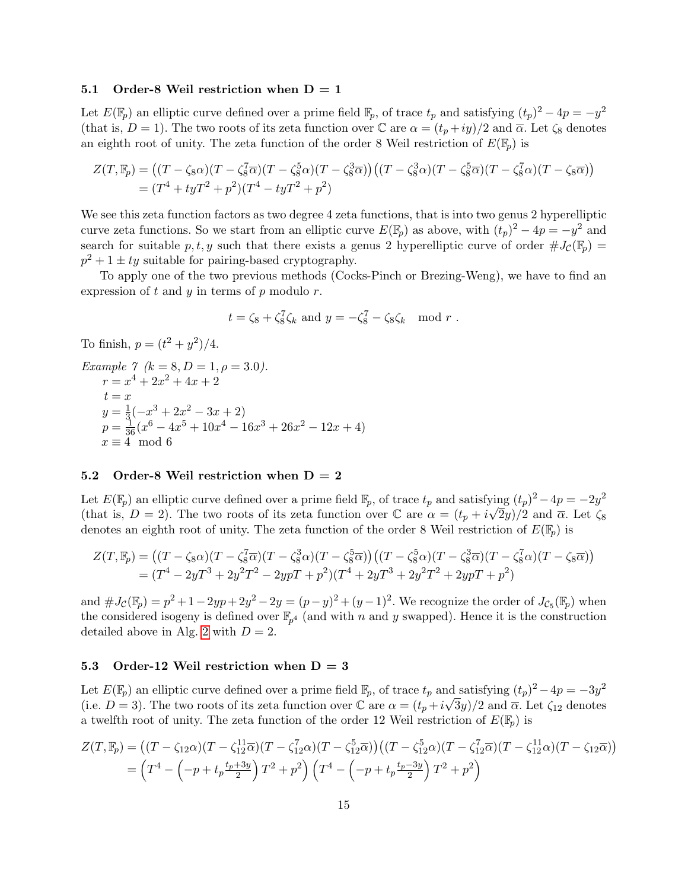#### 5.1 Order-8 Weil restriction when  $D = 1$

Let  $E(\mathbb{F}_p)$  an elliptic curve defined over a prime field  $\mathbb{F}_p$ , of trace  $t_p$  and satisfying  $(t_p)^2 - 4p = -y^2$ (that is,  $D = 1$ ). The two roots of its zeta function over C are  $\alpha = (t_p + iy)/2$  and  $\overline{\alpha}$ . Let  $\zeta_8$  denotes an eighth root of unity. The zeta function of the order 8 Weil restriction of  $E(\mathbb{F}_p)$  is

$$
Z(T, \mathbb{F}_p) = ((T - \zeta_8 \alpha)(T - \zeta_8^7 \overline{\alpha})(T - \zeta_8^5 \alpha)(T - \zeta_8^3 \overline{\alpha}))((T - \zeta_8^3 \alpha)(T - \zeta_8^5 \overline{\alpha})(T - \zeta_8^7 \alpha)(T - \zeta_8 \overline{\alpha}))
$$
  
=  $(T^4 + tyT^2 + p^2)(T^4 - tyT^2 + p^2)$ 

We see this zeta function factors as two degree 4 zeta functions, that is into two genus 2 hyperelliptic curve zeta functions. So we start from an elliptic curve  $E(\mathbb{F}_p)$  as above, with  $(t_p)^2 - 4p = -y^2$  and search for suitable p, t, y such that there exists a genus 2 hyperelliptic curve of order  $\#J_{\mathcal{C}}(\mathbb{F}_p)$  =  $p^2 + 1 \pm ty$  suitable for pairing-based cryptography.

To apply one of the two previous methods (Cocks-Pinch or Brezing-Weng), we have to find an expression of  $t$  and  $y$  in terms of  $p$  modulo  $r$ .

$$
t = \zeta_8 + \zeta_8^7 \zeta_k \text{ and } y = -\zeta_8^7 - \zeta_8 \zeta_k \mod r.
$$

To finish,  $p = (t^2 + y^2)/4$ .

Example 7 (k = 8, D = 1, 
$$
\rho
$$
 = 3.0).  
\n
$$
r = x^{4} + 2x^{2} + 4x + 2
$$
\nt = x  
\ny =  $\frac{1}{3}$ (-x<sup>3</sup> + 2x<sup>2</sup> - 3x + 2)  
\np =  $\frac{1}{36}$ (x<sup>6</sup> - 4x<sup>5</sup> + 10x<sup>4</sup> - 16x<sup>3</sup> + 26x<sup>2</sup> - 12x + 4)  
\nx = 4 mod 6

### 5.2 Order-8 Weil restriction when  $D = 2$

Let  $E(\mathbb{F}_p)$  an elliptic curve defined over a prime field  $\mathbb{F}_p$ , of trace  $t_p$  and satisfying  $(t_p)^2 - 4p = -2y^2$ (that is,  $D = 2$ ). The two roots of its zeta function over  $\mathbb C$  are  $\alpha = (t_p + i\sqrt{2}y)/2$  and  $\overline{\alpha}$ . Let  $\zeta_8$ denotes an eighth root of unity. The zeta function of the order 8 Weil restriction of  $E(\mathbb{F}_p)$  is

$$
Z(T, \mathbb{F}_p) = ((T - \zeta_8 \alpha)(T - \zeta_8^7 \overline{\alpha})(T - \zeta_8^3 \alpha)(T - \zeta_8^5 \overline{\alpha}))((T - \zeta_8^5 \alpha)(T - \zeta_8^3 \overline{\alpha})(T - \zeta_8^7 \alpha)(T - \zeta_8 \overline{\alpha}))
$$
  
=  $(T^4 - 2yT^3 + 2y^2T^2 - 2ypT + p^2)(T^4 + 2yT^3 + 2y^2T^2 + 2ypT + p^2)$ 

and  $\#J_{\mathcal{C}}(\mathbb{F}_p) = p^2 + 1 - 2yp + 2y^2 - 2y = (p - y)^2 + (y - 1)^2$ . We recognize the order of  $J_{\mathcal{C}_5}(\mathbb{F}_p)$  when the considered isogeny is defined over  $\mathbb{F}_{p^4}$  (and with n and y swapped). Hence it is the construction detailed above in Alg. [2](#page-10-1) with  $D = 2$ .

# 5.3 Order-12 Weil restriction when  $D = 3$

Let  $E(\mathbb{F}_p)$  an elliptic curve defined over a prime field  $\mathbb{F}_p$ , of trace  $t_p$  and satisfying  $(t_p)^2 - 4p = -3y^2$ (i.e.  $D=3$ ). The two roots of its zeta function over  $\mathbb C$  are  $\alpha=(t_p+i\sqrt{3}y)/2$  and  $\overline{\alpha}$ . Let  $\zeta_{12}$  denotes a twelfth root of unity. The zeta function of the order 12 Weil restriction of  $E(\mathbb{F}_p)$  is

$$
Z(T, \mathbb{F}_p) = ((T - \zeta_{12}\alpha)(T - \zeta_{12}^{11}\overline{\alpha})(T - \zeta_{12}^{7}\alpha)(T - \zeta_{12}^{5}\overline{\alpha}))((T - \zeta_{12}^{5}\alpha)(T - \zeta_{12}^{7}\overline{\alpha})(T - \zeta_{12}^{11}\alpha)(T - \zeta_{12}\overline{\alpha}))
$$
  
= 
$$
(T^4 - \left(-p + t_p\frac{t_p + 3y}{2}\right)T^2 + p^2)(T^4 - \left(-p + t_p\frac{t_p - 3y}{2}\right)T^2 + p^2)
$$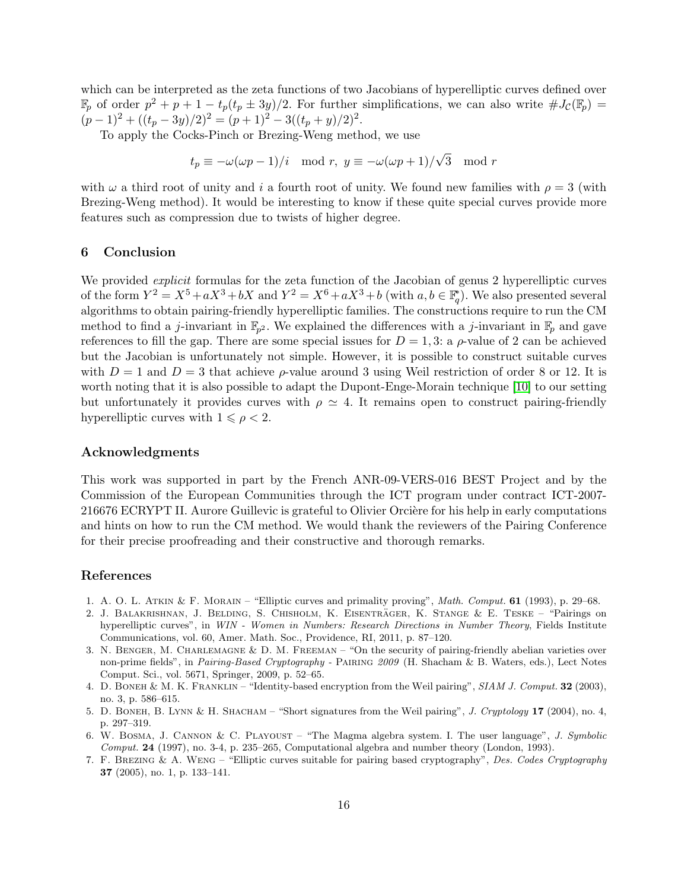which can be interpreted as the zeta functions of two Jacobians of hyperelliptic curves defined over  $\mathbb{F}_p$  of order  $p^2 + p + 1 - t_p(t_p \pm 3y)/2$ . For further simplifications, we can also write  $\#J_{\mathcal{C}}(\mathbb{F}_p) =$  $(p-1)^2 + ((t_p - 3y)/2)^2 = (p+1)^2 - 3((t_p + y)/2)^2$ .

To apply the Cocks-Pinch or Brezing-Weng method, we use

$$
t_p \equiv -\omega(\omega p - 1)/i \mod r, y \equiv -\omega(\omega p + 1)/\sqrt{3} \mod r
$$

with  $\omega$  a third root of unity and i a fourth root of unity. We found new families with  $\rho = 3$  (with Brezing-Weng method). It would be interesting to know if these quite special curves provide more features such as compression due to twists of higher degree.

### 6 Conclusion

We provided *explicit* formulas for the zeta function of the Jacobian of genus 2 hyperelliptic curves of the form  $Y^2 = X^5 + aX^3 + bX$  and  $Y^2 = X^6 + aX^3 + b$  (with  $a, b \in \mathbb{F}_q^*$ ). We also presented several algorithms to obtain pairing-friendly hyperelliptic families. The constructions require to run the CM method to find a *j*-invariant in  $\mathbb{F}_{p^2}$ . We explained the differences with a *j*-invariant in  $\mathbb{F}_p$  and gave references to fill the gap. There are some special issues for  $D = 1, 3$ : a  $\rho$ -value of 2 can be achieved but the Jacobian is unfortunately not simple. However, it is possible to construct suitable curves with  $D = 1$  and  $D = 3$  that achieve  $\rho$ -value around 3 using Weil restriction of order 8 or 12. It is worth noting that it is also possible to adapt the Dupont-Enge-Morain technique [\[10\]](#page-16-25) to our setting but unfortunately it provides curves with  $\rho \simeq 4$ . It remains open to construct pairing-friendly hyperelliptic curves with  $1 \leq \rho < 2$ .

# Acknowledgments

This work was supported in part by the French ANR-09-VERS-016 BEST Project and by the Commission of the European Communities through the ICT program under contract ICT-2007- 216676 ECRYPT II. Aurore Guillevic is grateful to Olivier Orcière for his help in early computations and hints on how to run the CM method. We would thank the reviewers of the Pairing Conference for their precise proofreading and their constructive and thorough remarks.

### References

- <span id="page-15-4"></span>1. A. O. L. ATKIN & F. MORAIN – "Elliptic curves and primality proving", Math. Comput. 61 (1993), p. 29–68.
- <span id="page-15-2"></span>2. J. BALAKRISHNAN, J. BELDING, S. CHISHOLM, K. EISENTRÄGER, K. STANGE & E. TESKE – "Pairings on hyperelliptic curves", in WIN - Women in Numbers: Research Directions in Number Theory, Fields Institute Communications, vol. 60, Amer. Math. Soc., Providence, RI, 2011, p. 87–120.
- <span id="page-15-5"></span>3. N. Benger, M. Charlemagne & D. M. Freeman – "On the security of pairing-friendly abelian varieties over non-prime fields", in Pairing-Based Cryptography - Pairing 2009 (H. Shacham & B. Waters, eds.), Lect Notes Comput. Sci., vol. 5671, Springer, 2009, p. 52–65.
- <span id="page-15-0"></span>4. D. BONEH & M. K. FRANKLIN – "Identity-based encryption from the Weil pairing", SIAM J. Comput. 32 (2003), no. 3, p. 586–615.
- <span id="page-15-1"></span>5. D. BONEH, B. LYNN & H. SHACHAM – "Short signatures from the Weil pairing", J. Cryptology 17 (2004), no. 4, p. 297–319.
- <span id="page-15-6"></span>6. W. Bosma, J. Cannon & C. Playoust – "The Magma algebra system. I. The user language", J. Symbolic Comput. 24 (1997), no. 3-4, p. 235–265, Computational algebra and number theory (London, 1993).
- <span id="page-15-3"></span>7. F. Brezing & A. Weng – "Elliptic curves suitable for pairing based cryptography", Des. Codes Cryptography 37 (2005), no. 1, p. 133–141.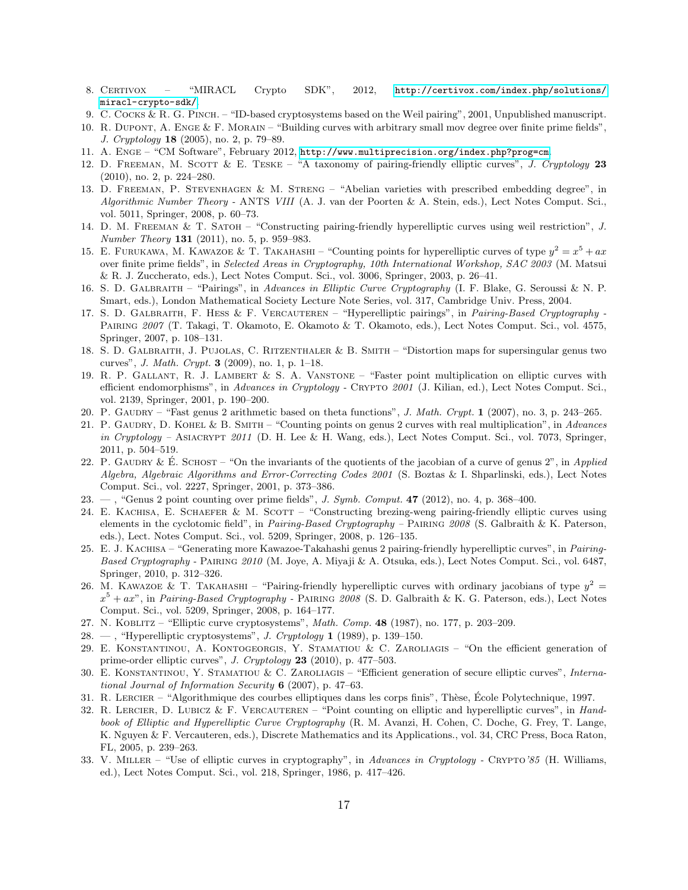- <span id="page-16-22"></span>8. CERTIVOX - "MIRACL Crypto SDK", 2012, [http://certivox.com/index.php/solutions/](http://certivox.com/index.php/solutions/miracl-crypto-sdk/) [miracl-crypto-sdk/](http://certivox.com/index.php/solutions/miracl-crypto-sdk/).
- <span id="page-16-17"></span>9. C. COCKS & R. G. PINCH. – "ID-based cryptosystems based on the Weil pairing", 2001, Unpublished manuscript.
- <span id="page-16-25"></span>10. R. Dupont, A. Enge & F. Morain – "Building curves with arbitrary small mov degree over finite prime fields", J. Cryptology 18 (2005), no. 2, p. 79–89.
- <span id="page-16-23"></span>11. A. Enge – "CM Software", February 2012, <http://www.multiprecision.org/index.php?prog=cm>.
- <span id="page-16-7"></span>12. D. FREEMAN, M. SCOTT & E. TESKE – "A taxonomy of pairing-friendly elliptic curves", J. Cryptology 23 (2010), no. 2, p. 224–280.
- <span id="page-16-10"></span>13. D. Freeman, P. Stevenhagen & M. Streng – "Abelian varieties with prescribed embedding degree", in Algorithmic Number Theory - ANTS VIII (A. J. van der Poorten & A. Stein, eds.), Lect Notes Comput. Sci., vol. 5011, Springer, 2008, p. 60–73.
- <span id="page-16-13"></span>14. D. M. Freeman & T. Satoh – "Constructing pairing-friendly hyperelliptic curves using weil restriction", J. Number Theory 131 (2011), no. 5, p. 959–983.
- <span id="page-16-6"></span>15. E. FURUKAWA, M. KAWAZOE & T. TAKAHASHI – "Counting points for hyperelliptic curves of type  $y^2 = x^5 + ax$ over finite prime fields", in Selected Areas in Cryptography, 10th International Workshop, SAC 2003 (M. Matsui & R. J. Zuccherato, eds.), Lect Notes Comput. Sci., vol. 3006, Springer, 2003, p. 26–41.
- <span id="page-16-18"></span>16. S. D. Galbraith – "Pairings", in Advances in Elliptic Curve Cryptography (I. F. Blake, G. Seroussi & N. P. Smart, eds.), London Mathematical Society Lecture Note Series, vol. 317, Cambridge Univ. Press, 2004.
- <span id="page-16-8"></span>17. S. D. GALBRAITH, F. HESS & F. VERCAUTEREN - "Hyperelliptic pairings", in Pairing-Based Cryptography -PAIRING 2007 (T. Takagi, T. Okamoto, E. Okamoto & T. Okamoto, eds.), Lect Notes Comput. Sci., vol. 4575, Springer, 2007, p. 108–131.
- <span id="page-16-9"></span>18. S. D. Galbraith, J. Pujolas, C. Ritzenthaler & B. Smith – "Distortion maps for supersingular genus two curves", *J. Math. Crypt.* **3** (2009), no. 1, p. 1–18.
- <span id="page-16-15"></span>19. R. P. Gallant, R. J. Lambert & S. A. Vanstone – "Faster point multiplication on elliptic curves with efficient endomorphisms", in Advances in Cryptology - CRYPTO 2001 (J. Kilian, ed.), Lect Notes Comput. Sci., vol. 2139, Springer, 2001, p. 190–200.
- <span id="page-16-16"></span>20. P. Gaudry – "Fast genus 2 arithmetic based on theta functions", J. Math. Crypt. 1 (2007), no. 3, p. 243–265.
- <span id="page-16-4"></span>21. P. GAUDRY, D. KOHEL & B. SMITH – "Counting points on genus 2 curves with real multiplication", in Advances in Cryptology – ASIACRYPT 2011 (D. H. Lee & H. Wang, eds.), Lect Notes Comput. Sci., vol. 7073, Springer, 2011, p. 504–519.
- <span id="page-16-14"></span>22. P. GAUDRY & E. SCHOST – "On the invariants of the quotients of the jacobian of a curve of genus  $2$ ", in Applied Algebra, Algebraic Algorithms and Error-Correcting Codes 2001 (S. Boztas & I. Shparlinski, eds.), Lect Notes Comput. Sci., vol. 2227, Springer, 2001, p. 373–386.
- <span id="page-16-5"></span>23.  $-$ , "Genus 2 point counting over prime fields", *J. Symb. Comput.* 47 (2012), no. 4, p. 368–400.
- <span id="page-16-24"></span>24. E. KACHISA, E. SCHAEFER & M. SCOTT – "Constructing brezing-weng pairing-friendly elliptic curves using elements in the cyclotomic field", in Pairing-Based Cryptography – Pairing 2008 (S. Galbraith & K. Paterson, eds.), Lect. Notes Comput. Sci., vol. 5209, Springer, 2008, p. 126–135.
- <span id="page-16-12"></span>25. E. J. Kachisa – "Generating more Kawazoe-Takahashi genus 2 pairing-friendly hyperelliptic curves", in Pairing-Based Cryptography - PAIRING 2010 (M. Joye, A. Miyaji & A. Otsuka, eds.), Lect Notes Comput. Sci., vol. 6487, Springer, 2010, p. 312–326.
- <span id="page-16-11"></span>26. M. KAWAZOE & T. TAKAHASHI – "Pairing-friendly hyperelliptic curves with ordinary jacobians of type  $y^2 =$  $x^5 + ax$ ", in *Pairing-Based Cryptography* - PAIRING 2008 (S. D. Galbraith & K. G. Paterson, eds.), Lect Notes Comput. Sci., vol. 5209, Springer, 2008, p. 164–177.
- <span id="page-16-1"></span>27. N. Koblitz – "Elliptic curve cryptosystems", Math. Comp. 48 (1987), no. 177, p. 203–209.
- <span id="page-16-2"></span>28. — , "Hyperelliptic cryptosystems", J. Cryptology  $1$  (1989), p. 139-150.
- <span id="page-16-21"></span>29. E. Konstantinou, A. Kontogeorgis, Y. Stamatiou & C. Zaroliagis – "On the efficient generation of prime-order elliptic curves", J. Cryptology 23 (2010), p. 477–503.
- <span id="page-16-20"></span>30. E. Konstantinou, Y. Stamatiou & C. Zaroliagis – "Efficient generation of secure elliptic curves", International Journal of Information Security  $6$  (2007), p. 47–63.
- <span id="page-16-19"></span>31. R. LERCIER – "Algorithmique des courbes elliptiques dans les corps finis", Thèse, École Polytechnique, 1997.
- <span id="page-16-3"></span>32. R. LERCIER, D. LUBICZ & F. VERCAUTEREN – "Point counting on elliptic and hyperelliptic curves", in Handbook of Elliptic and Hyperelliptic Curve Cryptography (R. M. Avanzi, H. Cohen, C. Doche, G. Frey, T. Lange, K. Nguyen & F. Vercauteren, eds.), Discrete Mathematics and its Applications., vol. 34, CRC Press, Boca Raton, FL, 2005, p. 239–263.
- <span id="page-16-0"></span>33. V. Miller – "Use of elliptic curves in cryptography", in Advances in Cryptology - Crypto'85 (H. Williams, ed.), Lect Notes Comput. Sci., vol. 218, Springer, 1986, p. 417–426.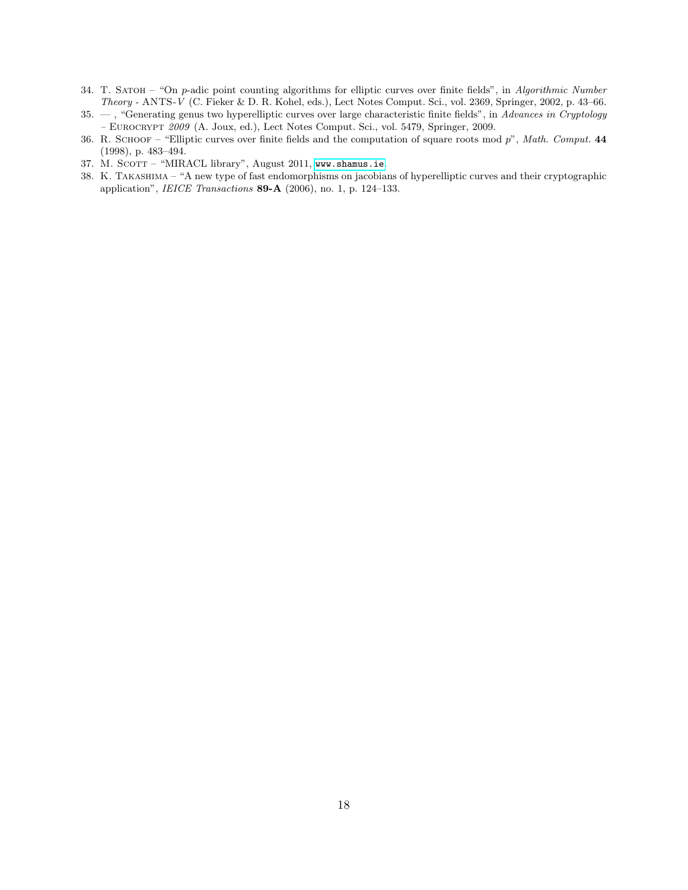- <span id="page-17-1"></span>34. T. SATOH – "On p-adic point counting algorithms for elliptic curves over finite fields", in Algorithmic Number Theory - ANTS-V (C. Fieker & D. R. Kohel, eds.), Lect Notes Comput. Sci., vol. 2369, Springer, 2002, p. 43–66.
- <span id="page-17-2"></span>35.  $-$ , "Generating genus two hyperelliptic curves over large characteristic finite fields", in Advances in Cryptology – Eurocrypt 2009 (A. Joux, ed.), Lect Notes Comput. Sci., vol. 5479, Springer, 2009.
- <span id="page-17-0"></span>36. R. SCHOOF – "Elliptic curves over finite fields and the computation of square roots mod  $p$ ", Math. Comput. 44 (1998), p. 483–494.
- <span id="page-17-4"></span>37. M. SCOTT - "MIRACL library", August 2011, <www.shamus.ie>.
- <span id="page-17-3"></span>38. K. Takashima – "A new type of fast endomorphisms on jacobians of hyperelliptic curves and their cryptographic application", IEICE Transactions 89-A (2006), no. 1, p. 124–133.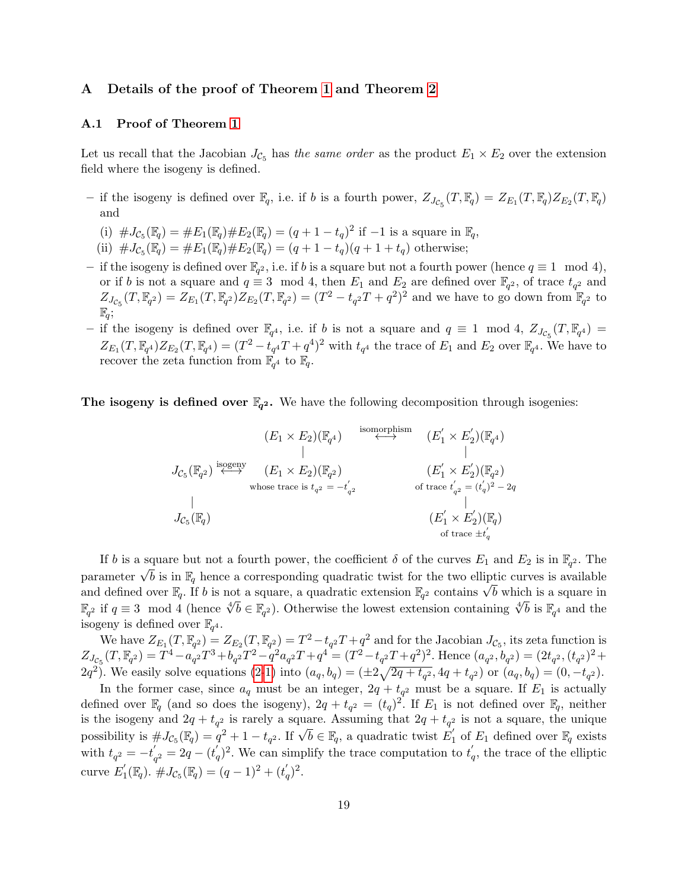# A Details of the proof of Theorem [1](#page-4-3) and Theorem [2](#page-6-0)

# A.1 Proof of Theorem [1](#page-4-3)

Let us recall that the Jacobian  $J_{\mathcal{C}_5}$  has the same order as the product  $E_1 \times E_2$  over the extension field where the isogeny is defined.

- if the isogeny is defined over  $\mathbb{F}_q$ , i.e. if b is a fourth power,  $Z_{J_{\mathcal{C}_5}}(T, \mathbb{F}_q) = Z_{E_1}(T, \mathbb{F}_q) Z_{E_2}(T, \mathbb{F}_q)$ and
	- (i)  $\#J_{\mathcal{C}_5}(\mathbb{F}_q) = \#E_1(\mathbb{F}_q) \#E_2(\mathbb{F}_q) = (q+1-t_q)^2$  if  $-1$  is a square in  $\mathbb{F}_q$ ,
	- (ii)  $\#J_{\mathcal{C}_5}(\mathbb{F}_q) = \#E_1(\mathbb{F}_q) \#E_2(\mathbb{F}_q) = (q+1-t_q)(q+1+t_q)$  otherwise;
- − if the isogeny is defined over  $\mathbb{F}_{q^2}$ , i.e. if b is a square but not a fourth power (hence  $q \equiv 1 \mod 4$ ), or if b is not a square and  $q \equiv 3 \mod 4$ , then  $E_1$  and  $E_2$  are defined over  $\mathbb{F}_{q^2}$ , of trace  $t_{q^2}$  and  $Z_{J_{\mathcal{C}_5}}(T,\mathbb{F}_{q^2})=Z_{E_1}(T,\mathbb{F}_{q^2})Z_{E_2}(T,\mathbb{F}_{q^2})=(T^2-t_{q^2}T+q^2)^2$  and we have to go down from  $\mathbb{F}_{q^2}$  to  $\mathbb{F}_q$ ;
- − if the isogeny is defined over  $\mathbb{F}_{q^4}$ , i.e. if b is not a square and  $q \equiv 1 \mod 4$ ,  $Z_{J_{\mathcal{C}_5}}(T, \mathbb{F}_{q^4}) =$  $Z_{E_1}(T, \mathbb{F}_{q^4}) Z_{E_2}(T, \mathbb{F}_{q^4}) = (T^2 - t_{q^4}T + q^4)^2$  with  $t_{q^4}$  the trace of  $E_1$  and  $E_2$  over  $\mathbb{F}_{q^4}$ . We have to recover the zeta function from  $\mathbb{F}_{q^4}$  to  $\mathbb{F}_q$ .

**The isogeny is defined over**  $\mathbb{F}_{q^2}$ **.** We have the following decomposition through isogenies:

$$
J_{\mathcal{C}_5}(\mathbb{F}_{q^2}) \overset{\text{isomorphism}}{\longleftrightarrow} (E_1 \times E_2)(\mathbb{F}_{q^4})
$$
\n
$$
J_{\mathcal{C}_5}(\mathbb{F}_{q^2}) \overset{\text{isomorphism}}{\longleftrightarrow} (E_1 \times E_2)(\mathbb{F}_{q^2})
$$
\n
$$
= -t'_{q^2}
$$
\n
$$
J_{\mathcal{C}_5}(\mathbb{F}_{q})
$$
\n
$$
J_{\mathcal{C}_5}(\mathbb{F}_{q})
$$
\n
$$
J_{\mathcal{C}_6}(\mathbb{F}_{q})
$$
\n
$$
J_{\mathcal{C}_7}(\mathbb{F}_{q})
$$
\n
$$
J_{\mathcal{C}_8}(\mathbb{F}_{q})
$$
\n
$$
J_{\mathcal{C}_9}(\mathbb{F}_{q})
$$
\n
$$
J_{\mathcal{C}_9}(\mathbb{F}_{q})
$$
\n
$$
J_{\mathcal{C}_9}(\mathbb{F}_{q})
$$
\n
$$
J_{\mathcal{C}_9}(\mathbb{F}_{q})
$$
\n
$$
J_{\mathcal{C}_9}(\mathbb{F}_{q})
$$
\n
$$
J_{\mathcal{C}_9}(\mathbb{F}_{q})
$$
\n
$$
J_{\mathcal{C}_9}(\mathbb{F}_{q})
$$
\n
$$
J_{\mathcal{C}_9}(\mathbb{F}_{q})
$$
\n
$$
J_{\mathcal{C}_9}(\mathbb{F}_{q})
$$
\n
$$
J_{\mathcal{C}_9}(\mathbb{F}_{q})
$$
\n
$$
J_{\mathcal{C}_9}(\mathbb{F}_{q})
$$
\n
$$
J_{\mathcal{C}_9}(\mathbb{F}_{q})
$$
\n
$$
J_{\mathcal{C}_9}(\mathbb{F}_{q})
$$
\n
$$
J_{\mathcal{C}_9}(\mathbb{F}_{q})
$$
\n
$$
J_{\mathcal{C}_9}(\mathbb{F}_{q})
$$
\n
$$
J_{\mathcal{C}_9}(\mathbb{F}_{q})
$$
\n
$$
J_{\mathcal{C}_9}(\mathbb{F}_{q})
$$
\n<math display="block</math>

If b is a square but not a fourth power, the coefficient  $\delta$  of the curves  $E_1$  and  $E_2$  is in  $\mathbb{F}_{q^2}$ . The If v is a square but not a fourth power, the coefficient v or the curves  $E_1$  and  $E_2$  is in  $\mathbb{F}_q$ . The parameter  $\sqrt{b}$  is in  $\mathbb{F}_q$  hence a corresponding quadratic twist for the two elliptic curves is availabl parameter  $\sqrt{v}$  is in  $\mathbb{F}_q$  nence a corresponding quadratic twist for the two elliptic curves is available<br>and defined over  $\mathbb{F}_q$ . If b is not a square, a quadratic extension  $\mathbb{F}_{q^2}$  contains  $\sqrt{b}$  which and defined over  $\mathbb{F}_q$ . If *b* is not a square, a quadratic extension  $\mathbb{F}_{q^2}$  contains  $\sqrt{v}$  which is a square in  $\mathbb{F}_{q^2}$  if  $q \equiv 3 \mod 4$  (hence  $\sqrt[4]{b} \in \mathbb{F}_{q^2}$ ). Otherwise the lowest extension contai isogeny is defined over  $\mathbb{F}_{q^4}$ .

We have  $Z_{E_1}(T,\mathbb{F}_{q^2}) = Z_{E_2}(T,\mathbb{F}_{q^2}) = T^2 - t_{q^2}T + q^2$  and for the Jacobian  $J_{\mathcal{C}_5}$ , its zeta function is  $Z_{J_{\mathcal{C}_5}}(T,\mathbb{F}_{q^2}) = T^4 - a_{q^2}^2 T^3 + b_{q^2} T^2 - q^2 a_{q^2} T + q^4 = (T^2 - t_{q^2} T + q^2)^2$ . Hence  $(a_{q^2}, b_{q^2}) = (2t_{q^2}, (t_{q^2})^2 +$  $(2q^2)$ . We easily solve equations  $(2-1)$  into  $(a_q, b_q) = (\pm 2\sqrt{2q + t_{q^2}}, 4q + t_{q^2})$  or  $(a_q, b_q) = (0, -t_{q^2})$ .

In the former case, since  $a_q$  must be an integer,  $2q + t_{q^2}$  must be a square. If  $E_1$  is actually defined over  $\mathbb{F}_q$  (and so does the isogeny),  $2q + t_{q^2} = (t_q)^2$ . If  $E_1$  is not defined over  $\mathbb{F}_q$ , neither is the isogeny and  $2q + t_{q^2}$  is rarely a square. Assuming that  $2q + t_{q^2}$  is not a square, the unique possibility is  $\#J_{\mathcal{C}_5}(\mathbb{F}_q) = q^2 + 1 - t_{q^2}$ . If  $\sqrt{b} \in \mathbb{F}_q$ , a quadratic twist  $E'_1$  $y_1'$  of  $E_1$  defined over  $\mathbb{F}_q$  exists with  $t_{q^2} = -t'_{q}$  $q_2 = 2q - (t_q')^2$ . We can simplify the trace computation to  $t_q'$ , the trace of the elliptic curve  $E_1^{'}$  $J_1'(\mathbb{F}_q)$ .  $\#J_{\mathcal{C}_5}(\mathbb{F}_q) = (q-1)^2 + (t'_q)^2$ .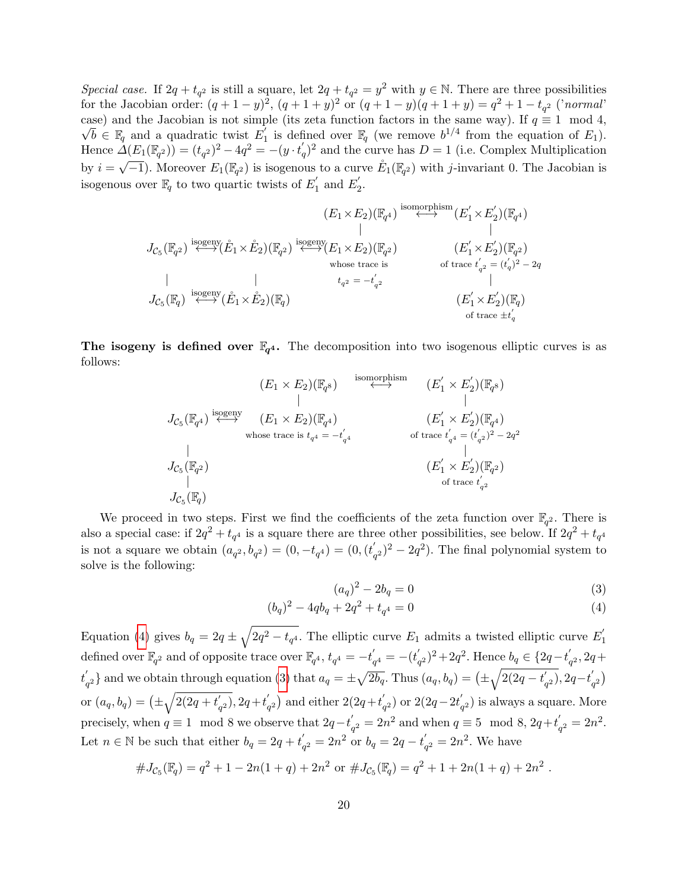Special case. If  $2q + t_{q^2}$  is still a square, let  $2q + t_{q^2} = y^2$  with  $y \in \mathbb{N}$ . There are three possibilities for the Jacobian order:  $(q + 1 - y)^2$ ,  $(q + 1 + y)^2$  or  $(q + 1 - y)(q + 1 + y) = q^2 + 1 - t_{q^2}$  ('normal' case) and the Jacobian is not simple (its zeta function factors in the same way). If  $q \equiv 1 \mod 4$ ,  $\overline{b} \in \mathbb{F}_q$  and a quadratic twist  $E_1$ <sup>1</sup> is defined over  $\mathbb{F}_q$  (we remove  $b^{1/4}$  from the equation of  $E_1$ ). Hence  $\Delta(E_1(\mathbb{F}_{q^2})) = (t_{q^2})^2 - 4q^2 = -(y \cdot t'_q)^2$  and the curve has  $D = 1$  (i.e. Complex Multiplication by  $i = \sqrt{-1}$ ). Moreover  $E_1(\mathbb{F}_{q^2})$  is isogenous to a curve  $\mathring{E}_1(\mathbb{F}_{q^2})$  with j-invariant 0. The Jacobian is isogenous over  $\mathbb{F}_q$  to two quartic twists of  $E_1'$  $E_1'$  and  $E_2'$  $\frac{1}{2}$ .

$$
J_{\mathcal{C}_5}(\mathbb{F}_{q^2}) \xrightarrow{\text{isogeny}} (\mathring{E}_1 \times \mathring{E}_2)(\mathbb{F}_{q^2}) \xrightarrow{\text{isogeny}} (E_1 \times E_2)(\mathbb{F}_{q^2})
$$
\n
$$
J_{\mathcal{C}_5}(\mathbb{F}_{q^2}) \xrightarrow{\text{isogeny}} (\mathring{E}_1 \times \mathring{E}_2)(\mathbb{F}_{q^2}) \xrightarrow{\text{isogeny}} (E_1 \times E_2)(\mathbb{F}_{q^2})
$$
\n
$$
J_{\mathcal{C}_5}(\mathbb{F}_{q}) \xrightarrow{\text{isogeny}} (\mathring{E}_1 \times \mathring{E}_2)(\mathbb{F}_{q})
$$
\n
$$
J_{\mathcal{C}_5}(\mathbb{F}_{q}) \xrightarrow{\text{isogeny}} (\mathring{E}_1 \times \mathring{E}_2)(\mathbb{F}_{q})
$$
\n
$$
J_{\mathcal{C}_5}(\mathbb{F}_{q}) \xrightarrow{\text{isogeny}} (\mathring{E}_1 \times \mathring{E}_2)(\mathbb{F}_{q})
$$
\n
$$
J_{\mathcal{C}_5}(\mathbb{F}_{q}) \xrightarrow{\text{isogeny}} (\mathring{E}_1 \times \mathring{E}_2)(\mathbb{F}_{q})
$$
\n
$$
J_{\mathcal{C}_5}(\mathbb{F}_{q}) \xrightarrow{\text{isogeny}} (\mathring{E}_1 \times \mathring{E}_2)(\mathbb{F}_{q})
$$
\n
$$
J_{\mathcal{C}_5}(\mathbb{F}_{q}) \xrightarrow{\text{isogeny}} (\mathring{E}_1 \times \mathring{E}_2)(\mathbb{F}_{q})
$$

The isogeny is defined over  $\mathbb{F}_{q^4}$ . The decomposition into two isogenous elliptic curves is as follows:

$$
J_{\mathcal{C}_5}(\mathbb{F}_{q^4}) \xrightarrow{\text{isomorphism}} (E_1 \times E_2)(\mathbb{F}_{q^8})
$$
\n
$$
J_{\mathcal{C}_5}(\mathbb{F}_{q^4}) \xrightarrow{\text{isogeny}} (E_1 \times E_2)(\mathbb{F}_{q^4})
$$
\n
$$
J_{\mathcal{C}_5}(\mathbb{F}_{q^2})
$$
\n
$$
J_{\mathcal{C}_5}(\mathbb{F}_{q^2})
$$
\n
$$
J_{\mathcal{C}_5}(\mathbb{F}_{q^2})
$$
\n
$$
J_{\mathcal{C}_5}(\mathbb{F}_{q^2})
$$
\n
$$
J_{\mathcal{C}_5}(\mathbb{F}_{q})
$$
\n
$$
J_{\mathcal{C}_5}(\mathbb{F}_{q})
$$
\n
$$
J_{\mathcal{C}_5}(\mathbb{F}_{q})
$$
\n
$$
J_{\mathcal{C}_5}(\mathbb{F}_{q})
$$
\n
$$
J_{\mathcal{C}_6}(\mathbb{F}_{q})
$$
\n
$$
J_{\mathcal{C}_7}(\mathbb{F}_{q})
$$

We proceed in two steps. First we find the coefficients of the zeta function over  $\mathbb{F}_{q^2}$ . There is also a special case: if  $2q^2 + t_{q^4}$  is a square there are three other possibilities, see below. If  $2q^2 + t_{q^4}$ is not a square we obtain  $(a_{q^2}, b_{q^2}) = (0, -t_{q^4}) = (0, (t'_{q^4}))$  $(q<sup>2</sup>)<sup>2</sup> - 2q<sup>2</sup>$ ). The final polynomial system to solve is the following:

<span id="page-19-0"></span>
$$
(a_q)^2 - 2b_q = 0 \tag{3}
$$

$$
(b_q)^2 - 4qb_q + 2q^2 + t_{q^4} = 0 \tag{4}
$$

Equation [\(4\)](#page-19-0) gives  $b_q = 2q \pm \sqrt{2q^2 - t_{q^4}}$ . The elliptic curve  $E_1$  admits a twisted elliptic curve  $E_1'$ 1 defined over  $\mathbb{F}_{q^2}$  and of opposite trace over  $\mathbb{F}_{q^4}$ ,  $t_{q^4} = -t'$  $\epsilon_{q^4}^{\prime} = -(t_q^{\prime})$  $(q^2)^2 + 2q^2$ . Hence  $b_q \in \{2q - t_q^{\prime\prime}\}$  $q^2$ , 2q +  $t_{i}'$  $\binom{a}{q^2}$  and we obtain through equation [\(3\)](#page-19-0) that  $a_q = \pm \sqrt{2b_q}$ . Thus  $(a_q, b_q) = (\pm \sqrt{2(2q - t_q')})$  $\sqrt{q^2}$ , 2q−t $\sqrt{q^2}$  $\binom{q^2}{q^2}$ or  $(a_q, b_q) = (\pm \sqrt{2(2q + t'_q))}$  $\binom{q}{q^2}$ , 2q +  $t'_{q}$  $q^2$ ) and either  $2(2q+tq^')$  $q^{(2)}$  or 2(2q - 2t<sup>'</sup><sub> $q$ </sub>  $\sigma_{q^2}^{'}$ ) is always a square. More precisely, when  $q \equiv 1 \mod 8$  we observe that  $2q-t'$ .  $q'_q = 2n^2$  and when  $q \equiv 5 \mod 8$ ,  $2q+t'_q$  $q_2 = 2n^2.$ Let  $n \in \mathbb{N}$  be such that either  $b_q = 2q + t_q'$  $q'_q = 2n^2$  or  $b_q = 2q - t'_q$  $q^2 = 2n^2$ . We have

$$
#J_{\mathcal{C}_5}(\mathbb{F}_q) = q^2 + 1 - 2n(1+q) + 2n^2
$$
 or 
$$
#J_{\mathcal{C}_5}(\mathbb{F}_q) = q^2 + 1 + 2n(1+q) + 2n^2.
$$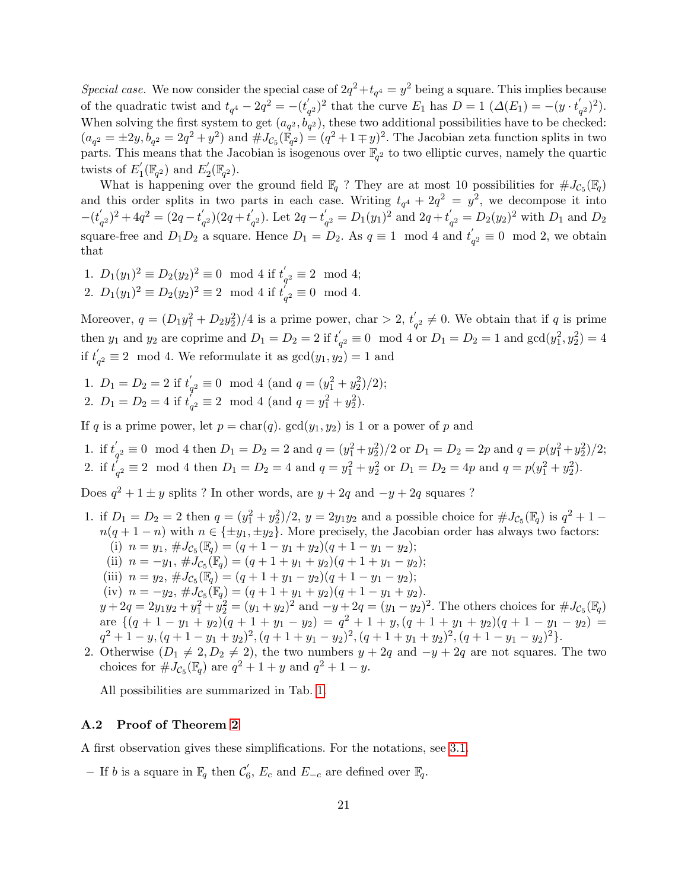Special case. We now consider the special case of  $2q^2 + t_{q^4} = y^2$  being a square. This implies because of the quadratic twist and  $t_{q^4} - 2q^2 = -(t'_{q^2})$  $\binom{q}{q^2}^2$  that the curve  $E_1$  has  $D=1$   $(\Delta(E_1))^2$  $\binom{1}{q^2}^2$ . When solving the first system to get  $(a_{q^2}, b_{q^2})$ , these two additional possibilities have to be checked:  $(a_{q^2} = \pm 2y, b_{q^2} = 2q^2 + y^2)$  and  $\#J_{\mathcal{C}_5}(\mathbb{F}_{q^2}) = (q^2 + 1 \mp y)^2$ . The Jacobian zeta function splits in two parts. This means that the Jacobian is isogenous over  $\mathbb{F}_{q^2}$  to two elliptic curves, namely the quartic twists of  $E_1^{'}$  $I_1(\mathbb{F}_{q^2})$  and  $E_2'$  $\mathcal{L}_{2}^{'}(\mathbb{F}_{q^2}).$ 

What is happening over the ground field  $\mathbb{F}_q$ ? They are at most 10 possibilities for  $\#J_{\mathcal{C}_5}(\mathbb{F}_q)$ and this order splits in two parts in each case. Writing  $t_{q}$ <sup>4</sup> + 2 $q$ <sup>2</sup> =  $y$ <sup>2</sup>, we decompose it into  $-(t)$  $\binom{q}{q^2}^2 + 4q^2 = (2q - t_q)$  $\binom{q}{q^2}(2q+t_q)$  $q^{(2)}_q$ ). Let  $2q-t'_{q}$  $q_2' = D_1(y_1)^2$  and  $2q + t'_q$  $q_2' = D_2(y_2)^2$  with  $D_1$  and  $D_2$ square-free and  $D_1D_2$  a square. Hence  $D_1 = D_2$ . As  $q \equiv 1 \mod 4$  and  $t'$  $q^2 \equiv 0 \mod 2$ , we obtain that

1.  $D_1(y_1)^2 \equiv D_2(y_2)^2 \equiv 0 \mod 4$  if  $t'_e$  $q_2 \equiv 2 \mod 4;$ 2.  $D_1(y_1)^2 \equiv D_2(y_2)^2 \equiv 2 \mod 4$  if  $t'_e$  $q^2 \equiv 0 \mod 4.$ 

Moreover,  $q = (D_1y_1^2 + D_2y_2^2)/4$  is a prime power, char  $> 2$ ,  $t'_c$  $q^q$   $\neq$  0. We obtain that if q is prime then  $y_1$  and  $y_2$  are coprime and  $D_1 = D_2 = 2$  if  $t'$  $q_2 \equiv 0 \mod 4$  or  $D_1 = D_2 = 1$  and  $gcd(y_1^2, y_2^2) = 4$ if  $t'$  $q_2 \equiv 2 \mod 4$ . We reformulate it as  $gcd(y_1, y_2) = 1$  and

1.  $D_1 = D_2 = 2$  if  $t'_1$  $q^{\prime}_q \equiv 0 \mod 4 \text{ (and } q = (y_1^2 + y_2^2)/2);$ 

2. 
$$
D_1 = D_2 = 4
$$
 if  $t'_{q^2} \equiv 2 \mod 4$  (and  $q = y_1^2 + y_2^2$ ).

If q is a prime power, let  $p = \text{char}(q)$ .  $\text{gcd}(y_1, y_2)$  is 1 or a power of p and

1. if  $t'_i$  $q'_q \equiv 0 \mod 4$  then  $D_1 = D_2 = 2$  and  $q = (y_1^2 + y_2^2)/2$  or  $D_1 = D_2 = 2p$  and  $q = p(y_1^2 + y_2^2)/2$ ; 2. if  $t_i'$  $q_2' \equiv 2 \mod 4$  then  $D_1 = D_2 = 4$  and  $q = y_1^2 + y_2^2$  or  $D_1 = D_2 = 4p$  and  $q = p(y_1^2 + y_2^2)$ .

Does  $q^2 + 1 \pm y$  splits ? In other words, are  $y + 2q$  and  $-y + 2q$  squares ?

- 1. if  $D_1 = D_2 = 2$  then  $q = (y_1^2 + y_2^2)/2$ ,  $y = 2y_1y_2$  and a possible choice for  $\#J_{\mathcal{C}_5}(\mathbb{F}_q)$  is  $q^2 + 1$  $n(q + 1 - n)$  with  $n \in \{\pm y_1, \pm y_2\}$ . More precisely, the Jacobian order has always two factors: (i)  $n = y_1, \#J_{\mathcal{C}_5}(\mathbb{F}_q) = (q + 1 - y_1 + y_2)(q + 1 - y_1 - y_2);$ (ii)  $n = -y_1$ ,  $\# J_{\mathcal{C}_5}(\mathbb{F}_q) = (q + 1 + y_1 + y_2)(q + 1 + y_1 - y_2);$ (iii)  $n = y_2, \#J_{\mathcal{C}_5}(\mathbb{F}_q) = (q + 1 + y_1 - y_2)(q + 1 - y_1 - y_2);$ (iv)  $n = -y_2$ ,  $\# \tilde{J}_{\mathcal{C}_5}(\mathbb{F}_q) = (q + 1 + y_1 + y_2)(q + 1 - y_1 + y_2).$  $y + 2q = 2y_1y_2 + y_1^2 + y_2^2 = (y_1 + y_2)^2$  and  $-y + 2q = (y_1 - y_2)^2$ . The others choices for  $\#J_{\mathcal{C}_5}(\mathbb{F}_q)$ are  $\{(q+1-y_1+y_2)(q+1+y_1-y_2) = q^2+1+y$ ,  $(q+1+y_1+y_2)(q+1-y_1-y_2) =$  $q^{2} + 1 - y$ ,  $(q + 1 - y_{1} + y_{2})^{2}$ ,  $(q + 1 + y_{1} - y_{2})^{2}$ ,  $(q + 1 + y_{1} + y_{2})^{2}$ ,  $(q + 1 - y_{1} - y_{2})^{2}$ .
- 2. Otherwise  $(D_1 \neq 2, D_2 \neq 2)$ , the two numbers  $y + 2q$  and  $-y + 2q$  are not squares. The two choices for  $\#J_{\mathcal{C}_5}(\mathbb{F}_q)$  are  $q^2 + 1 + y$  and  $q^2 + 1 - y$ .

All possibilities are summarized in Tab. [1.](#page-21-0)

### A.2 Proof of Theorem [2](#page-6-0)

A first observation gives these simplifications. For the notations, see [3.1.](#page-6-1)

- If b is a square in  $\mathbb{F}_q$  then  $\mathcal{C}'_6$  $E<sub>c</sub>$ ,  $E<sub>c</sub>$  and  $E<sub>-c</sub>$  are defined over  $\mathbb{F}_q$ .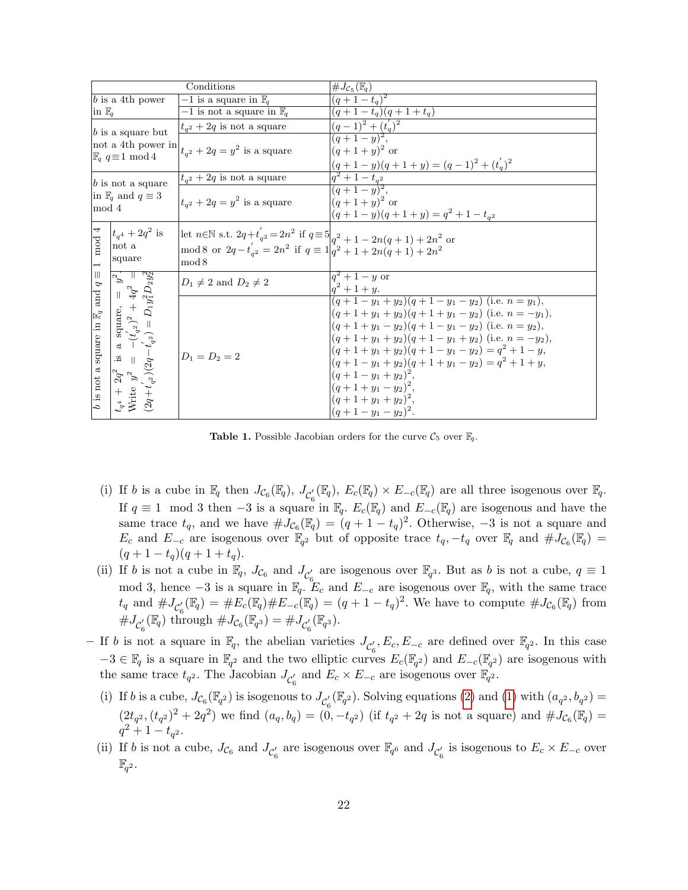|                                                                                                                 |                                                                                                                                                                                                                    | Conditions                                                                                                                                                                     | $\#J_{\mathcal{C}_5}(\mathbb{F}_q)$                                                                                                                                                                                                                                                                                                                                                         |
|-----------------------------------------------------------------------------------------------------------------|--------------------------------------------------------------------------------------------------------------------------------------------------------------------------------------------------------------------|--------------------------------------------------------------------------------------------------------------------------------------------------------------------------------|---------------------------------------------------------------------------------------------------------------------------------------------------------------------------------------------------------------------------------------------------------------------------------------------------------------------------------------------------------------------------------------------|
| $b$ is a 4th power                                                                                              |                                                                                                                                                                                                                    | $-1$ is a square in $\mathbb{F}_q$                                                                                                                                             | $(q+1-t_q)^2$                                                                                                                                                                                                                                                                                                                                                                               |
| $\ln \mathbb{F}_q$                                                                                              |                                                                                                                                                                                                                    | $-1$ is not a square in $\mathbb{F}_q$                                                                                                                                         | $(q+1-t_q)(q+1+t_q)$                                                                                                                                                                                                                                                                                                                                                                        |
| $b$ is a square but<br>not a 4th power in<br>$\mathbb{F}_q$ $q \equiv 1 \mod 4$                                 |                                                                                                                                                                                                                    | $t_{q^2} + 2q$ is not a square                                                                                                                                                 | $(q-1)^2 + (t'_q)^2$                                                                                                                                                                                                                                                                                                                                                                        |
|                                                                                                                 |                                                                                                                                                                                                                    | $t_{q2} + 2q = y^2$ is a square                                                                                                                                                | $\frac{1}{(q+1-y)^2}$ .<br>$(q+1+y)^2$ or<br>$(q+1-y)(q+1+y) = (q-1)^2 + (t'_q)^2$                                                                                                                                                                                                                                                                                                          |
| $b$ is not a square<br>in $\mathbb{F}_q$ and $q \equiv 3$<br>mod 4                                              |                                                                                                                                                                                                                    | $t_{q2} + 2q$ is not a square                                                                                                                                                  | $q^2+1-t_{q^2}$                                                                                                                                                                                                                                                                                                                                                                             |
|                                                                                                                 |                                                                                                                                                                                                                    | $t_{a^2} + 2q = y^2$ is a square                                                                                                                                               | $\frac{1}{(q+1-y)^2}$ ,<br>$(q+1+y)^2$ or<br>$(q+1-y)(q+1+y) = q^2 + 1 - t_{q^2}$                                                                                                                                                                                                                                                                                                           |
| mod 4<br>$\overline{ }$<br>$\left\vert \right\vert \right\vert$<br>P<br>b is not a square in $\mathbb{F}_q$ and | $ t_{q4} + 2q^2$ is<br>not a<br>square                                                                                                                                                                             | let $n \in \mathbb{N}$ s.t. $2q+t'_{q^2} = 2n^2$ if $q \equiv 5 _{q^2+1} - 2n(q+1) + 2n^2$ or<br>mod 8 or $2q-t'_{a^2}=2n^2$ if $q \equiv 1 \vert q^2+1+2n(q+1)+2n^2$<br>mod 8 |                                                                                                                                                                                                                                                                                                                                                                                             |
|                                                                                                                 | $t_{q4} + 2q^2$ is a square, = $y^2$ .<br>Write $y^2 = -(t'_{q2})^2 + 4q^2 =$<br>$(2q+t'_{q2})(2q-t'_{q2}) = D_1y_1^2D_2y_2^2$<br>$\stackrel{\sim}{\gg}$ $\parallel$<br>$2q^2$ $y^2$<br>$t_{q^4}$ + $$\rm{Write}$$ | $D_1 \neq 2$ and $D_2 \neq 2$                                                                                                                                                  | $q^2 + 1 - y$ or<br>$q^2+1+y$ .                                                                                                                                                                                                                                                                                                                                                             |
|                                                                                                                 |                                                                                                                                                                                                                    | $D_1 = D_2 = 2$                                                                                                                                                                | $\frac{(q+1-y_1+y_2)(q+1-y_1-y_2)}{(i.e. n=y_1)},$<br>$(q+1+y_1+y_2)(q+1+y_1-y_2)$ (i.e. $n=-y_1$ ),<br>$(q+1+y_1-y_2)(q+1-y_1-y_2)$ (i.e. $n=y_2$ ),<br>$(q+1+y_1+y_2)(q+1-y_1+y_2)$ (i.e. $n=-y_2$ ),<br>$(q+1+y_1+y_2)(q+1-y_1-y_2)=q^2+1-y,$<br>$(q+1-y_1+y_2)(q+1+y_1-y_2) = q^2 + 1 + y,$<br>$(q+1-y_1+y_2)^2$ ,<br>$(q+1+y_1-y_2)^2$ ,<br>$(q+1+y_1+y_2)^2$ ,<br>$(q+1-y_1-y_2)^2$ . |

<span id="page-21-0"></span>**Table 1.** Possible Jacobian orders for the curve  $\mathcal{C}_5$  over  $\mathbb{F}_q$ .

- (i) If b is a cube in  $\mathbb{F}_q$  then  $J_{\mathcal{C}_6}(\mathbb{F}_q)$ ,  $J_{\mathcal{C}_6}'(\mathbb{F}_q)$ ,  $E_c(\mathbb{F}_q) \times E_{-c}(\mathbb{F}_q)$  are all three isogenous over  $\mathbb{F}_q$ . If  $q \equiv 1 \mod 3$  then  $-3$  is a square in  $\mathbb{F}_q$ .  $E_c(\mathbb{F}_q)$  and  $E_{-c}(\mathbb{F}_q)$  are isogenous and have the same trace  $t_q$ , and we have  $\#J_{\mathcal{C}_6}(\mathbb{F}_q) = (q+1-t_q)^2$ . Otherwise, -3 is not a square and  $E_c$  and  $E_{-c}$  are isogenous over  $\mathbb{F}_{q^2}$  but of opposite trace  $t_q, -t_q$  over  $\mathbb{F}_q$  and  $\#J_{\mathcal{C}_6}(\mathbb{F}_q)$  $(q+1-t_q)(q+1+t_q).$
- (ii) If b is not a cube in  $\mathbb{F}_q$ ,  $J_{\mathcal{C}_6}$  and  $J_{\mathcal{C}'_6}$  are isogenous over  $\mathbb{F}_{q^3}$ . But as b is not a cube,  $q \equiv 1$ mod 3, hence  $-3$  is a square in  $\mathbb{F}_q$ .  $E_c$  and  $E_{-c}$  are isogenous over  $\mathbb{F}_q$ , with the same trace  $t_q$  and  $\#J_{\mathcal{C}_6'}(\mathbb{F}_q) = \#E_c(\mathbb{F}_q) \#E_{-c}(\mathbb{F}_q) = (q+1-t_q)^2$ . We have to compute  $\#J_{\mathcal{C}_6}(\mathbb{F}_q)$  from  $\#J_{\mathcal{C}_6'}(\mathbb{F}_q)$  through  $\#J_{\mathcal{C}_6}(\mathbb{F}_{q^3}) = \#J_{\mathcal{C}_6'}(\mathbb{F}_{q^3})$ .
- If b is not a square in  $\mathbb{F}_q$ , the abelian varieties  $J_{\mathcal{C}'_6}$ ,  $E_c$ ,  $E_{-c}$  are defined over  $\mathbb{F}_{q^2}$ . In this case  $-3 \in \mathbb{F}_q$  is a square in  $\mathbb{F}_{q^2}$  and the two elliptic curves  $E_c(\mathbb{F}_{q^2})$  and  $E_{-c}(\mathbb{F}_{q^2})$  are isogenous with the same trace  $t_{q^2}$ . The Jacobian  $J_{\mathcal{C}'_6}$  and  $E_c \times E_{-c}$  are isogenous over  $\mathbb{F}_{q^2}$ .
	- (i) If b is a cube,  $J_{\mathcal{C}_6}(\mathbb{F}_{q^2})$  is isogenous to  $J_{\mathcal{C}'_6}(\mathbb{F}_{q^2})$ . Solving equations [\(2\)](#page-4-1) and [\(1\)](#page-4-1) with  $(a_{q^2}, b_{q^2}) =$  $(2t_{q^2}, (t_{q^2})^2 + 2q^2)$  we find  $(a_q, b_q) = (0, -t_{q^2})$  (if  $t_{q^2} + 2q$  is not a square) and  $\#J_{\mathcal{C}_6}(\mathbb{F}_q) =$  $q^2+1-t_{q^2}$ .
	- (ii) If b is not a cube,  $J_{\mathcal{C}_6}$  and  $J_{\mathcal{C}_6'}$  are isogenous over  $\mathbb{F}_{q^6}$  and  $J_{\mathcal{C}_6'}$  is isogenous to  $E_c \times E_{-c}$  over  $\mathbb{F}_{q^2}.$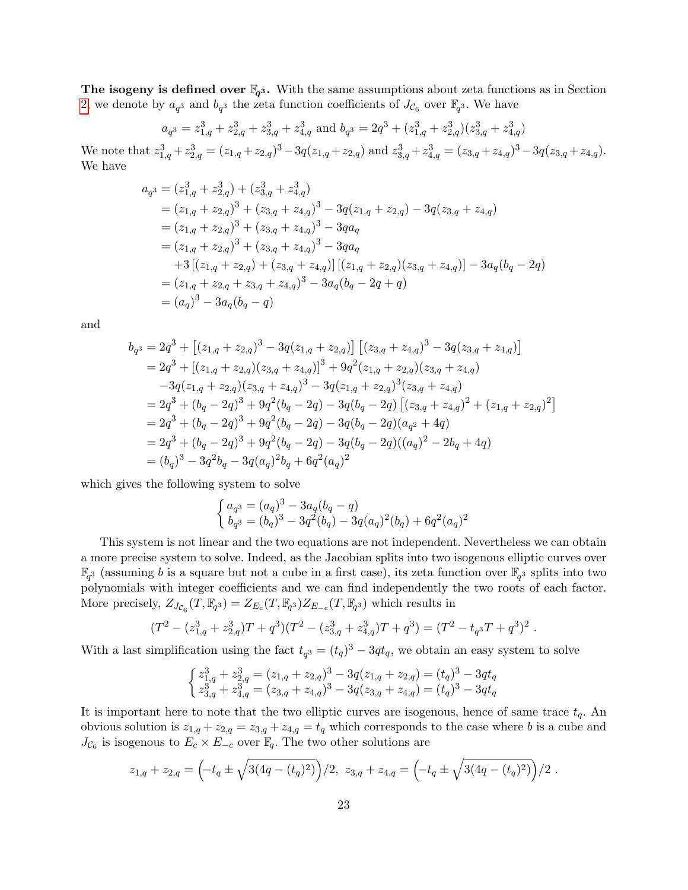The isogeny is defined over  $\mathbb{F}_{q^3}$ . With the same assumptions about zeta functions as in Section [2,](#page-2-0) we denote by  $a_{q^3}$  and  $b_{q^3}$  the zeta function coefficients of  $J_{\mathcal{C}_6}$  over  $\mathbb{F}_{q^3}$ . We have

$$
a_{q3} = z_{1,q}^3 + z_{2,q}^3 + z_{3,q}^3 + z_{4,q}^3
$$
 and 
$$
b_{q3} = 2q^3 + (z_{1,q}^3 + z_{2,q}^3)(z_{3,q}^3 + z_{4,q}^3)
$$

We note that  $z_{1,q}^3 + z_{2,q}^3 = (z_{1,q} + z_{2,q})^3 - 3q(z_{1,q} + z_{2,q})$  and  $z_{3,q}^3 + z_{4,q}^3 = (z_{3,q} + z_{4,q})^3 - 3q(z_{3,q} + z_{4,q})$ . We have

$$
a_{q3} = (z_{1,q}^{3} + z_{2,q}^{3}) + (z_{3,q}^{3} + z_{4,q}^{3})
$$
  
\n
$$
= (z_{1,q} + z_{2,q})^{3} + (z_{3,q} + z_{4,q})^{3} - 3q(z_{1,q} + z_{2,q}) - 3q(z_{3,q} + z_{4,q})
$$
  
\n
$$
= (z_{1,q} + z_{2,q})^{3} + (z_{3,q} + z_{4,q})^{3} - 3qa_{q}
$$
  
\n
$$
= (z_{1,q} + z_{2,q})^{3} + (z_{3,q} + z_{4,q})^{3} - 3qa_{q}
$$
  
\n
$$
+ 3 [(z_{1,q} + z_{2,q}) + (z_{3,q} + z_{4,q})] [(z_{1,q} + z_{2,q})(z_{3,q} + z_{4,q})] - 3a_{q}(b_{q} - 2q)
$$
  
\n
$$
= (z_{1,q} + z_{2,q} + z_{3,q} + z_{4,q})^{3} - 3a_{q}(b_{q} - 2q + q)
$$
  
\n
$$
= (a_{q})^{3} - 3a_{q}(b_{q} - q)
$$

and

$$
b_{q3} = 2q^{3} + [(z_{1,q} + z_{2,q})^{3} - 3q(z_{1,q} + z_{2,q})] [(z_{3,q} + z_{4,q})^{3} - 3q(z_{3,q} + z_{4,q})]
$$
  
\n
$$
= 2q^{3} + [(z_{1,q} + z_{2,q})(z_{3,q} + z_{4,q})]^{3} + 9q^{2}(z_{1,q} + z_{2,q})(z_{3,q} + z_{4,q})
$$
  
\n
$$
-3q(z_{1,q} + z_{2,q})(z_{3,q} + z_{4,q})^{3} - 3q(z_{1,q} + z_{2,q})^{3}(z_{3,q} + z_{4,q})
$$
  
\n
$$
= 2q^{3} + (b_{q} - 2q)^{3} + 9q^{2}(b_{q} - 2q) - 3q(b_{q} - 2q) [(z_{3,q} + z_{4,q})^{2} + (z_{1,q} + z_{2,q})^{2}]
$$
  
\n
$$
= 2q^{3} + (b_{q} - 2q)^{3} + 9q^{2}(b_{q} - 2q) - 3q(b_{q} - 2q)(a_{q^{2}} + 4q)
$$
  
\n
$$
= 2q^{3} + (b_{q} - 2q)^{3} + 9q^{2}(b_{q} - 2q) - 3q(b_{q} - 2q)(a_{q^{2}} + 4q)
$$
  
\n
$$
= 2q^{3} + (b_{q} - 2q)^{3} + 9q^{2}(b_{q} - 2q) - 3q(b_{q} - 2q)((a_{q})^{2} - 2b_{q} + 4q)
$$
  
\n
$$
= (b_{q})^{3} - 3q^{2}b_{q} - 3q(a_{q})^{2}b_{q} + 6q^{2}(a_{q})^{2}
$$

which gives the following system to solve

$$
\begin{cases}\na_{q^3} = (a_q)^3 - 3a_q(b_q - q) \\
b_{q^3} = (b_q)^3 - 3q^2(b_q) - 3q(a_q)^2(b_q) + 6q^2(a_q)^2\n\end{cases}
$$

This system is not linear and the two equations are not independent. Nevertheless we can obtain a more precise system to solve. Indeed, as the Jacobian splits into two isogenous elliptic curves over  $\mathbb{F}_{q^3}$  (assuming b is a square but not a cube in a first case), its zeta function over  $\mathbb{F}_{q^3}$  splits into two polynomials with integer coefficients and we can find independently the two roots of each factor. More precisely,  $Z_{J_{C_6}}(T,\mathbb{F}_{q^3})=Z_{E_c}(T,\mathbb{F}_{q^3})Z_{E_{-c}}(T,\mathbb{F}_{q^3})$  which results in

$$
(T2 - (z1,q3 + z2,q3)T + q3)(T2 - (z3,q3 + z4,q3)T + q3) = (T2 - tq3T + q3)2.
$$

With a last simplification using the fact  $t_{q^3} = (t_q)^3 - 3qt_q$ , we obtain an easy system to solve

$$
\begin{cases} z_{1,q}^3 + z_{2,q}^3 = (z_{1,q} + z_{2,q})^3 - 3q(z_{1,q} + z_{2,q}) = (t_q)^3 - 3qt_q\\ z_{3,q}^3 + z_{4,q}^3 = (z_{3,q} + z_{4,q})^3 - 3q(z_{3,q} + z_{4,q}) = (t_q)^3 - 3qt_q \end{cases}
$$

It is important here to note that the two elliptic curves are isogenous, hence of same trace  $t_q$ . An obvious solution is  $z_{1,q} + z_{2,q} = z_{3,q} + z_{4,q} = t_q$  which corresponds to the case where b is a cube and  $J_{\mathcal{C}_6}$  is isogenous to  $E_c \times E_{-c}$  over  $\mathbb{F}_q$ . The two other solutions are

$$
z_{1,q} + z_{2,q} = \left(-t_q \pm \sqrt{3(4q - (t_q)^2)}\right)/2, \ z_{3,q} + z_{4,q} = \left(-t_q \pm \sqrt{3(4q - (t_q)^2)}\right)/2.
$$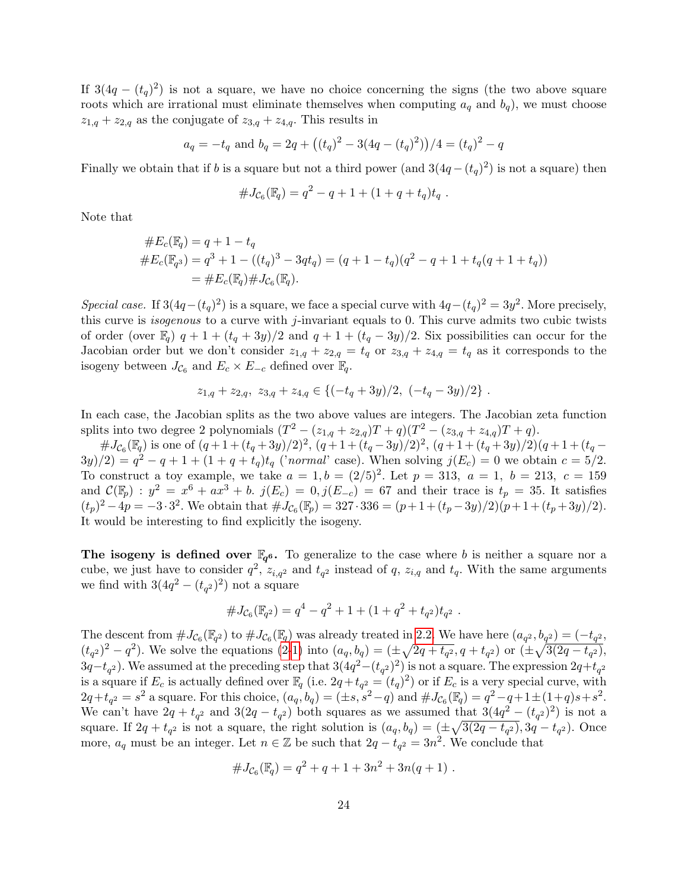If  $3(4q - (t_q)^2)$  is not a square, we have no choice concerning the signs (the two above square roots which are irrational must eliminate themselves when computing  $a_q$  and  $b_q$ ), we must choose  $z_{1,q} + z_{2,q}$  as the conjugate of  $z_{3,q} + z_{4,q}$ . This results in

$$
a_q = -t_q
$$
 and  $b_q = 2q + ((t_q)^2 - 3(4q - (t_q)^2))/4 = (t_q)^2 - q$ 

Finally we obtain that if b is a square but not a third power (and  $3(4q - (t_q)^2)$  is not a square) then

$$
#J_{\mathcal{C}_6}(\mathbb{F}_q) = q^2 - q + 1 + (1 + q + t_q)t_q.
$$

Note that

$$
#E_c(\mathbb{F}_q) = q + 1 - t_q
$$
  
\n
$$
#E_c(\mathbb{F}_{q^3}) = q^3 + 1 - ((t_q)^3 - 3qt_q) = (q + 1 - t_q)(q^2 - q + 1 + t_q(q + 1 + t_q))
$$
  
\n
$$
= #E_c(\mathbb{F}_q) \# J_{C_6}(\mathbb{F}_q).
$$

Special case. If  $3(4q-(t_q)^2)$  is a square, we face a special curve with  $4q-(t_q)^2=3y^2$ . More precisely, this curve is *isogenous* to a curve with  $j$ -invariant equals to 0. This curve admits two cubic twists of order (over  $\mathbb{F}_q$ )  $q + 1 + (t_q + 3y)/2$  and  $q + 1 + (t_q - 3y)/2$ . Six possibilities can occur for the Jacobian order but we don't consider  $z_{1,q} + z_{2,q} = t_q$  or  $z_{3,q} + z_{4,q} = t_q$  as it corresponds to the isogeny between  $J_{\mathcal{C}_6}$  and  $E_c \times E_{-c}$  defined over  $\mathbb{F}_q$ .

$$
z_{1,q} + z_{2,q}, \ z_{3,q} + z_{4,q} \in \{(-t_q + 3y)/2, \ (-t_q - 3y)/2\} \ .
$$

In each case, the Jacobian splits as the two above values are integers. The Jacobian zeta function splits into two degree 2 polynomials  $(T^{2} - (z_{1,q} + z_{2,q})T + q)(T^{2} - (z_{3,q} + z_{4,q})T + q)$ .

 $\#J_{\mathcal{C}_6}(\mathbb{F}_q)$  is one of  $(q+1+(t_q+3y)/2)^2$ ,  $(q+1+(t_q-3y)/2)^2$ ,  $(q+1+(t_q+3y)/2)(q+1+(t_q-3y)/2)$  $3y/2 = q^2 - q + 1 + (1 + q + t_q)t_q$  ('normal' case). When solving  $j(E_c) = 0$  we obtain  $c = 5/2$ . To construct a toy example, we take  $a = 1, b = (2/5)^2$ . Let  $p = 313, a = 1, b = 213, c = 159$ and  $\mathcal{C}(\mathbb{F}_p) : y^2 = x^6 + ax^3 + b.$   $j(E_c) = 0, j(E_{-c}) = 67$  and their trace is  $t_p = 35$ . It satisfies  $(t_p)^2 - 4p = -3 \cdot 3^2$ . We obtain that  $\#J_{\mathcal{C}_6}(\mathbb{F}_p) = 327 \cdot 336 = (p+1+(t_p-3y)/2)(p+1+(t_p+3y)/2)$ . It would be interesting to find explicitly the isogeny.

The isogeny is defined over  $\mathbb{F}_{q^6}$ . To generalize to the case where b is neither a square nor a cube, we just have to consider  $q^2$ ,  $z_{i,q^2}$  and  $t_{q^2}$  instead of q,  $z_{i,q}$  and  $t_q$ . With the same arguments we find with  $3(4q^2 - (t_{q^2})^2)$  not a square

$$
#J_{\mathcal{C}_6}(\mathbb{F}_{q^2}) = q^4 - q^2 + 1 + (1 + q^2 + t_{q^2})t_{q^2}.
$$

The descent from  $\#J_{\mathcal{C}_6}(\mathbb{F}_{q^2})$  to  $\#J_{\mathcal{C}_6}(\mathbb{F}_{q})$  was already treated in [2.2.](#page-3-0) We have here  $(a_{q^2}, b_{q^2}) = (-t_{q^2},$  $(t_{q^2})^2 - q^2$ ). We solve the equations [\(2-1\)](#page-4-1) into  $(a_q, b_q) = (\pm \sqrt{2q + t_{q^2}}, q + t_{q^2})$  or  $(\pm \sqrt{3(2q - t_{q^2})},$  $3q-t_{q^2}$ ). We assumed at the preceding step that  $3(4q^2-(t_{q^2})^2)$  is not a square. The expression  $2q+t_{q^2}$ is a square if  $E_c$  is actually defined over  $\mathbb{F}_q$  (i.e.  $2q+t_{q^2}=(t_q)^2$ ) or if  $E_c$  is a very special curve, with  $2q+t_{q^2}=s^2$  a square. For this choice,  $(a_q, b_q) = (\pm s, s^2-q)$  and  $\#J_{\mathcal{C}_6}(\mathbb{F}_q) = q^2-q+1 \pm (1+q)s+s^2$ . We can't have  $2q + t_{q^2}$  and  $3(2q - t_{q^2})$  both squares as we assumed that  $3(4q^2 - (t_{q^2})^2)$  is not a square. If  $2q + t_{q^2}$  is not a square, the right solution is  $(a_q, b_q) = (\pm \sqrt{3(2q - t_{q^2})}, 3q - t_{q^2})$ . Once more,  $a_q$  must be an integer. Let  $n \in \mathbb{Z}$  be such that  $2q - t_{q^2} = 3n^2$ . We conclude that

$$
#J_{\mathcal{C}_6}(\mathbb{F}_q) = q^2 + q + 1 + 3n^2 + 3n(q+1) .
$$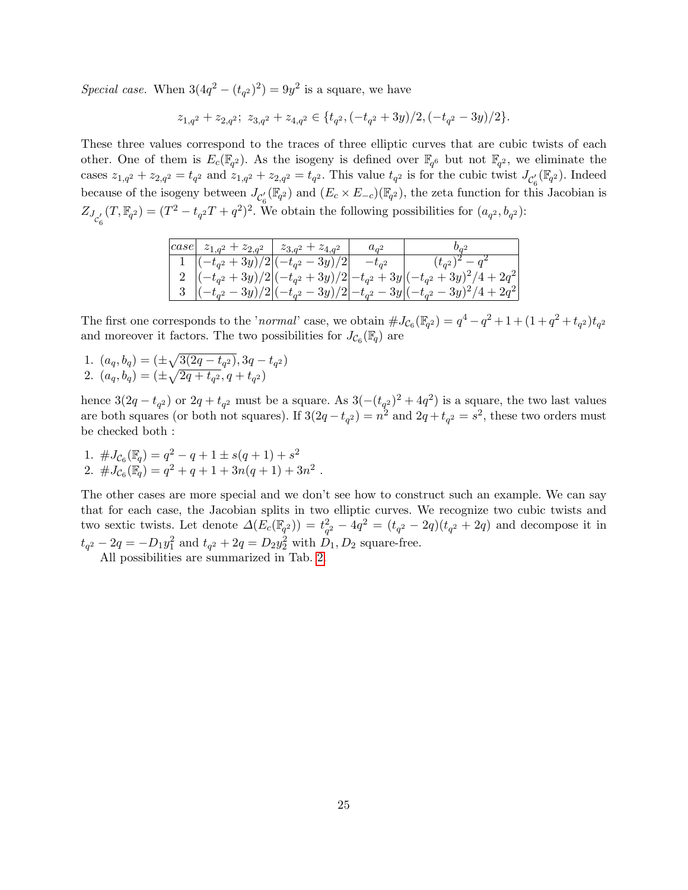Special case. When  $3(4q^2 - (t_{q^2})^2) = 9y^2$  is a square, we have

 $z_{1,q^2} + z_{2,q^2}; z_{3,q^2} + z_{4,q^2} \in \{t_{q^2}, (-t_{q^2} + 3y)/2, (-t_{q^2} - 3y)/2\}.$ 

These three values correspond to the traces of three elliptic curves that are cubic twists of each other. One of them is  $E_c(\mathbb{F}_{q^2})$ . As the isogeny is defined over  $\mathbb{F}_{q^6}$  but not  $\mathbb{F}_{q^2}$ , we eliminate the cases  $z_{1,q^2} + z_{2,q^2} = t_{q^2}$  and  $z_{1,q^2} + z_{2,q^2} = t_{q^2}$ . This value  $t_{q^2}$  is for the cubic twist  $J_{\mathcal{C}_6'}(\mathbb{F}_{q^2})$ . Indeed because of the isogeny between  $J_{\mathcal{C}_{\beta}}(\mathbb{F}_{q^2})$  and  $(E_c \times E_{-c})(\mathbb{F}_{q^2})$ , the zeta function for this Jacobian is  $Z_{J_{C'_6}}(T,\mathbb{F}_{q^2}) = (T^2 - t_{q^2}T + q^2)^2$ . We obtain the following possibilities for  $(a_{q^2}, b_{q^2})$ :

| $ case  z_{1,q^2} + z_{2,q^2}   z_{3,q^2} + z_{4,q^2}  $ | $a_{q^2}$  | $v_{a^2}$                                                                                            |
|----------------------------------------------------------|------------|------------------------------------------------------------------------------------------------------|
| 1 $ (-t_{q^2} + 3y)/2 (-t_{q^2} - 3y)/2 $                | $-t_{a^2}$ | $(t_{q^2})^2-q^2$                                                                                    |
|                                                          |            | 2 $\left (-t_{q^2}+3y)/2\right (-t_{q^2}+3y)/2\right -t_{q^2}+3y\left (-t_{q^2}+3y)^2/4+2q^2\right $ |
|                                                          |            | 3 $ (-t_{q^2}-3y)/2 (-t_{q^2}-3y)/2 -t_{q^2}-3y (-t_{q^2}-3y)^2/4+2q^2 $                             |

The first one corresponds to the 'normal' case, we obtain  $\#J_{\mathcal{C}_6}(\mathbb{F}_{q^2}) = q^4 - q^2 + 1 + (1+q^2+t_{q^2})t_{q^2}$ and moreover it factors. The two possibilities for  $J_{\mathcal{C}_6}(\mathbb{F}_q)$  are

1.  $(a_q, b_q) = (\pm \sqrt{3(2q - t_{q^2})}, 3q - t_{q^2})$ 2.  $(a_q, b_q) = (\pm \sqrt{2q + t_{q^2}}, q + t_{q^2})$ 

hence  $3(2q - t_{q^2})$  or  $2q + t_{q^2}$  must be a square. As  $3(-(t_{q^2})^2 + 4q^2)$  is a square, the two last values are both squares (or both not squares). If  $3(2q - t_{q^2}) = n^2$  and  $2q + t_{q^2} = s^2$ , these two orders must be checked both :

1.  $\#J_{\mathcal{C}_6}(\mathbb{F}_q) = q^2 - q + 1 \pm s(q+1) + s^2$ 2.  $\#J_{\mathcal{C}_6}(\mathbb{F}_q) = q^2 + q + 1 + 3n(q+1) + 3n^2$ .

The other cases are more special and we don't see how to construct such an example. We can say that for each case, the Jacobian splits in two elliptic curves. We recognize two cubic twists and two sextic twists. Let denote  $\Delta(E_c(\mathbb{F}_{q^2})) = t_{q^2}^2 - 4q^2 = (t_{q^2} - 2q)(t_{q^2} + 2q)$  and decompose it in  $t_{q^2} - 2q = -D_1y_1^2$  and  $t_{q^2} + 2q = D_2y_2^2$  with  $D_1, D_2$  square-free.

All possibilities are summarized in Tab. [2.](#page-25-0)